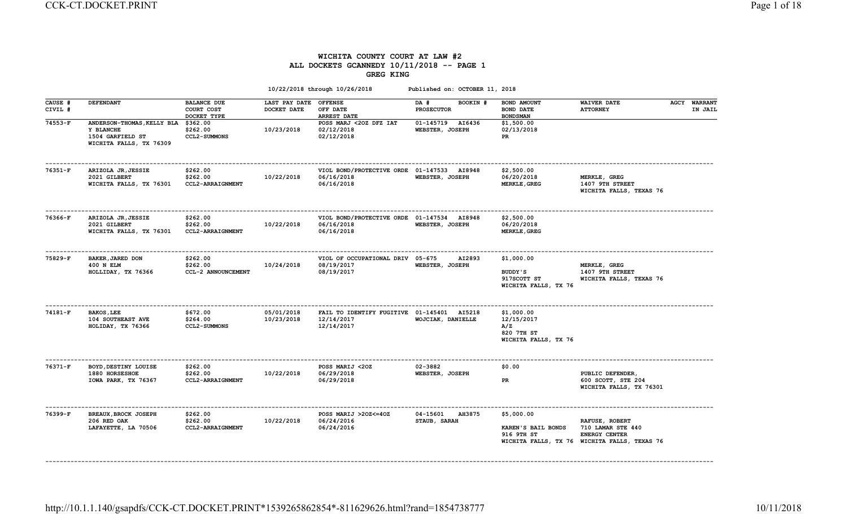# WICHITA COUNTY COURT AT LAW #2 ALL DOCKETS GCANNEDY 10/11/2018 -- PAGE 1 GREG KING

|                    |                                                                                        |                                                 |                              | 10/22/2018 through 10/26/2018                                          | Published on: OCTOBER 11, 2018            |                                                                       |                                                                                                             |                                |
|--------------------|----------------------------------------------------------------------------------------|-------------------------------------------------|------------------------------|------------------------------------------------------------------------|-------------------------------------------|-----------------------------------------------------------------------|-------------------------------------------------------------------------------------------------------------|--------------------------------|
| CAUSE #<br>CIVIL # | <b>DEFENDANT</b>                                                                       | <b>BALANCE DUE</b><br>COURT COST<br>DOCKET TYPE | LAST PAY DATE<br>DOCKET DATE | <b>OFFENSE</b><br>OFF DATE<br>ARREST DATE                              | BOOKIN #<br>DA #<br><b>PROSECUTOR</b>     | BOND AMOUNT<br><b>BOND DATE</b><br><b>BONDSMAN</b>                    | <b>WAIVER DATE</b><br><b>ATTORNEY</b>                                                                       | <b>AGCY WARRANT</b><br>IN JAIL |
| 74553-F            | ANDERSON-THOMAS, KELLY BLA<br>Y BLANCHE<br>1504 GARFIELD ST<br>WICHITA FALLS, TX 76309 | \$362.00<br>\$262.00<br><b>CCL2-SUMMONS</b>     | 10/23/2018                   | POSS MARJ <20Z DFZ IAT<br>02/12/2018<br>02/12/2018                     | 01-145719 AI6436<br>WEBSTER, JOSEPH       | \$1,500.00<br>02/13/2018<br>PR                                        |                                                                                                             |                                |
| 76351-F            | ARIZOLA JR, JESSIE<br>2021 GILBERT<br>WICHITA FALLS, TX 76301                          | \$262.00<br>\$262.00<br>CCL2-ARRAIGNMENT        | 10/22/2018                   | VIOL BOND/PROTECTIVE ORDE 01-147533 AI8948<br>06/16/2018<br>06/16/2018 | WEBSTER, JOSEPH                           | \$2,500.00<br>06/20/2018<br><b>MERKLE, GREG</b>                       | MERKLE, GREG<br>1407 9TH STREET<br>WICHITA FALLS, TEXAS 76                                                  |                                |
| 76366-F            | ARIZOLA JR, JESSIE<br>2021 GILBERT<br>WICHITA FALLS, TX 76301                          | \$262.00<br>\$262.00<br>CCL2-ARRAIGNMENT        | 10/22/2018                   | VIOL BOND/PROTECTIVE ORDE 01-147534 AI8948<br>06/16/2018<br>06/16/2018 | WEBSTER, JOSEPH                           | \$2,500.00<br>06/20/2018<br><b>MERKLE, GREG</b>                       |                                                                                                             |                                |
| 75829-F            | BAKER, JARED DON<br>400 N ELM<br>HOLLIDAY, TX 76366                                    | \$262.00<br>\$262.00<br>CCL-2 ANNOUNCEMENT      | 10/24/2018                   | VIOL OF OCCUPATIONAL DRIV 05-675<br>08/19/2017<br>08/19/2017           | AI2893<br>WEBSTER, JOSEPH                 | \$1,000.00<br>BUDDY'S<br>917SCOTT ST<br>WICHITA FALLS, TX 76          | MERKLE, GREG<br>1407 9TH STREET<br>WICHITA FALLS, TEXAS 76                                                  |                                |
| 74181-F            | <b>BAKOS, LEE</b><br><b>104 SOUTHEAST AVE</b><br>HOLIDAY, TX 76366                     | \$672.00<br>\$264.00<br><b>CCL2-SUMMONS</b>     | 05/01/2018<br>10/23/2018     | FAIL TO IDENTIFY FUGITIVE 01-145401 AI5218<br>12/14/2017<br>12/14/2017 | WOJCIAK, DANIELLE                         | \$1,000.00<br>12/15/2017<br>A/Z<br>820 7TH ST<br>WICHITA FALLS, TX 76 |                                                                                                             |                                |
| $76371-F$          | BOYD, DESTINY LOUISE<br>1880 HORSESHOE<br>IOWA PARK, TX 76367                          | \$262.00<br>\$262.00<br>CCL2-ARRAIGNMENT        | 10/22/2018                   | POSS MARIJ <20Z<br>06/29/2018<br>06/29/2018                            | 02-3882<br>WEBSTER, JOSEPH                | \$0.00<br>PR                                                          | PUBLIC DEFENDER,<br>600 SCOTT, STE 204<br>WICHITA FALLS, TX 76301                                           |                                |
| 76399-F            | BREAUX, BROCK JOSEPH<br>206 RED OAK<br>LAFAYETTE, LA 70506                             | \$262.00<br>\$262.00<br>CCL2-ARRAIGNMENT        | 10/22/2018                   | POSS MARIJ >20Z<=40Z<br>06/24/2016<br>06/24/2016                       | 04-15601<br><b>AH3875</b><br>STAUB, SARAH | \$5,000.00<br>KAREN'S BAIL BONDS<br>916 9TH ST                        | RAFUSE, ROBERT<br>710 LAMAR STE 440<br><b>ENERGY CENTER</b><br>WICHITA FALLS, TX 76 WICHITA FALLS, TEXAS 76 |                                |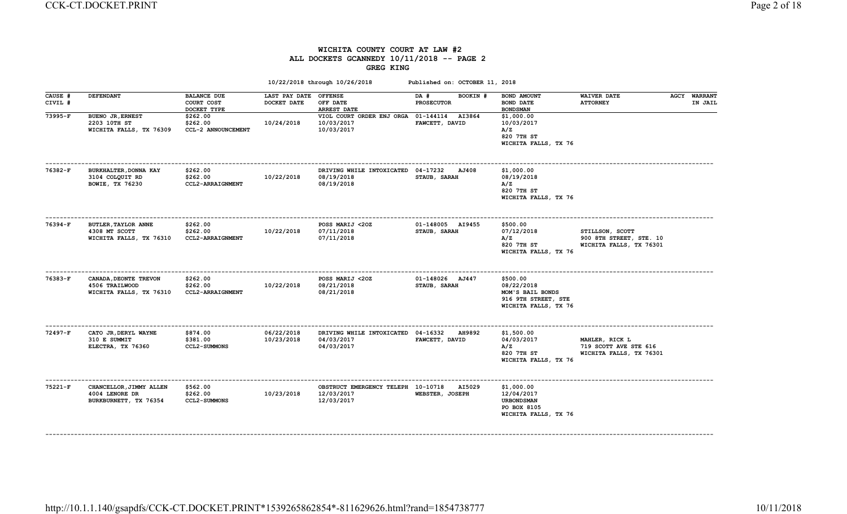### WICHITA COUNTY COURT AT LAW #2 ALL DOCKETS GCANNEDY 10/11/2018 -- PAGE 2 GREG KING

|                    |                                                                        |                                                 |                                      | 10/22/2018 through 10/26/2018                                   | Published on: OCTOBER 11, 2018        |                                                                                           |                                                                       |                                |
|--------------------|------------------------------------------------------------------------|-------------------------------------------------|--------------------------------------|-----------------------------------------------------------------|---------------------------------------|-------------------------------------------------------------------------------------------|-----------------------------------------------------------------------|--------------------------------|
| CAUSE #<br>CIVIL # | <b>DEFENDANT</b>                                                       | <b>BALANCE DUE</b><br>COURT COST<br>DOCKET TYPE | LAST PAY DATE OFFENSE<br>DOCKET DATE | OFF DATE<br><b>ARREST DATE</b>                                  | DA #<br>BOOKIN #<br><b>PROSECUTOR</b> | BOND AMOUNT<br><b>BOND DATE</b><br><b>BOND SMAN</b>                                       | <b>WAIVER DATE</b><br><b>ATTORNEY</b>                                 | <b>AGCY WARRANT</b><br>IN JAIL |
| 73995-F            | <b>BUENO JR, ERNEST</b><br>2203 10TH ST<br>WICHITA FALLS, TX 76309     | \$262.00<br>\$262.00<br>CCL-2 ANNOUNCEMENT      | 10/24/2018                           | VIOL COURT ORDER ENJ ORGA 01-144114<br>10/03/2017<br>10/03/2017 | <b>AI3864</b><br>FAWCETT, DAVID       | \$1,000.00<br>10/03/2017<br>A/Z<br>820 7TH ST<br>WICHITA FALLS, TX 76                     |                                                                       |                                |
| 76382-F            | BURKHALTER, DONNA KAY<br>3104 COLQUIT RD<br><b>BOWIE, TX 76230</b>     | \$262.00<br>\$262.00<br>CCL2-ARRAIGNMENT        | 10/22/2018                           | DRIVING WHILE INTOXICATED 04-17232<br>08/19/2018<br>08/19/2018  | AJ408<br>STAUB, SARAH                 | \$1,000.00<br>08/19/2018<br>A/Z<br>820 7TH ST<br>WICHITA FALLS, TX 76                     |                                                                       |                                |
| 76394-F            | <b>BUTLER, TAYLOR ANNE</b><br>4308 MT SCOTT<br>WICHITA FALLS, TX 76310 | \$262.00<br>\$262.00<br>CCL2-ARRAIGNMENT        | 10/22/2018                           | POSS MARIJ <20Z<br>07/11/2018<br>07/11/2018                     | 01-148005 AI9455<br>STAUB, SARAH      | \$500.00<br>07/12/2018<br>A/Z<br>820 7TH ST<br>WICHITA FALLS, TX 76                       | STILLSON, SCOTT<br>900 8TH STREET, STE. 10<br>WICHITA FALLS, TX 76301 |                                |
| 76383-F            | CANADA, DEONTE TREVON<br>4506 TRAILWOOD<br>WICHITA FALLS, TX 76310     | \$262.00<br>\$262.00<br>CCL2-ARRAIGNMENT        | 10/22/2018                           | POSS MARIJ <20Z<br>08/21/2018<br>08/21/2018                     | 01-148026 AJ447<br>STAUB, SARAH       | \$500.00<br>08/22/2018<br>MOM'S BAIL BONDS<br>916 9TH STREET, STE<br>WICHITA FALLS, TX 76 |                                                                       |                                |
| 72497-F            | CATO JR, DERYL WAYNE<br>310 E SUMMIT<br>ELECTRA, TX 76360              | \$874.00<br>\$381.00<br><b>CCL2-SUMMONS</b>     | 06/22/2018<br>10/23/2018             | DRIVING WHILE INTOXICATED 04-16332<br>04/03/2017<br>04/03/2017  | <b>AH9892</b><br>FAWCETT, DAVID       | \$1,500.00<br>04/03/2017<br>A/Z<br>820 7TH ST<br>WICHITA FALLS, TX 76                     | MAHLER, RICK L<br>719 SCOTT AVE STE 616<br>WICHITA FALLS, TX 76301    |                                |
| 75221-F            | CHANCELLOR, JIMMY ALLEN<br>4004 LENORE DR<br>BURKBURNETT, TX 76354     | \$562.00<br>\$262.00<br><b>CCL2-SUMMONS</b>     | 10/23/2018                           | OBSTRUCT EMERGENCY TELEPH 10-10718<br>12/03/2017<br>12/03/2017  | AI5029<br>WEBSTER, JOSEPH             | \$1,000.00<br>12/04/2017<br><b>URBONDSMAN</b><br>PO BOX 8105<br>WICHITA FALLS, TX 76      |                                                                       |                                |

http://10.1.1.140/gsapdfs/CCK-CT.DOCKET.PRINT\*1539265862854\*-811629626.html?rand=1854738777 10/11/2018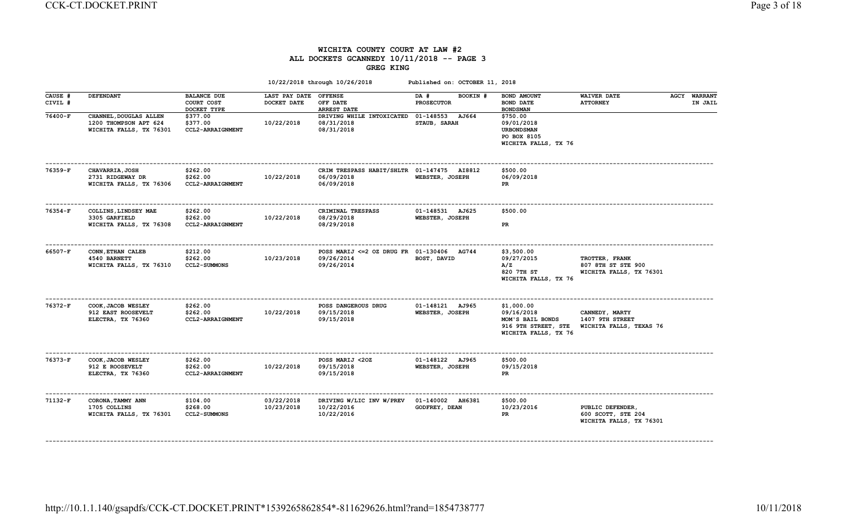### WICHITA COUNTY COURT AT LAW #2 ALL DOCKETS GCANNEDY 10/11/2018 -- PAGE 3 GREG KING

|                    |                                                                            |                                                 |                                      | 10/22/2018 through 10/26/2018                                          | Published on: OCTOBER 11, 2018            |                                                                                             |                                                                   |                                |
|--------------------|----------------------------------------------------------------------------|-------------------------------------------------|--------------------------------------|------------------------------------------------------------------------|-------------------------------------------|---------------------------------------------------------------------------------------------|-------------------------------------------------------------------|--------------------------------|
| CAUSE #<br>CIVIL # | <b>DEFENDANT</b>                                                           | <b>BALANCE DUE</b><br>COURT COST<br>DOCKET TYPE | LAST PAY DATE OFFENSE<br>DOCKET DATE | OFF DATE<br><b>ARREST DATE</b>                                         | DA #<br>BOOKIN #<br><b>PROSECUTOR</b>     | BOND AMOUNT<br><b>BOND DATE</b><br><b>BOND SMAN</b>                                         | <b>WAIVER DATE</b><br><b>ATTORNEY</b>                             | <b>AGCY WARRANT</b><br>IN JAIL |
| 76400-F            | CHANNEL, DOUGLAS ALLEN<br>1200 THOMPSON APT 624<br>WICHITA FALLS, TX 76301 | \$377.00<br>\$377.00<br>CCL2-ARRAIGNMENT        | 10/22/2018                           | DRIVING WHILE INTOXICATED<br>08/31/2018<br>08/31/2018                  | 01-148553<br><b>AJ664</b><br>STAUB, SARAH | \$750.00<br>09/01/2018<br><b>URBONDSMAN</b><br>PO BOX 8105<br>WICHITA FALLS, TX 76          |                                                                   |                                |
| 76359-F            | <b>CHAVARRIA, JOSH</b><br>2731 RIDGEWAY DR<br>WICHITA FALLS, TX 76306      | \$262.00<br>\$262.00<br>CCL2-ARRAIGNMENT        | 10/22/2018                           | CRIM TRESPASS HABIT/SHLTR 01-147475 AI8812<br>06/09/2018<br>06/09/2018 | WEBSTER, JOSEPH                           | \$500.00<br>06/09/2018<br>PR                                                                |                                                                   |                                |
| 76354-F            | COLLINS, LINDSEY MAE<br>3305 GARFIELD<br>WICHITA FALLS, TX 76308           | \$262.00<br>\$262.00<br>CCL2-ARRAIGNMENT        | 10/22/2018                           | CRIMINAL TRESPASS<br>08/29/2018<br>08/29/2018                          | 01-148531 AJ625<br>WEBSTER, JOSEPH        | \$500.00<br>PR                                                                              |                                                                   |                                |
| 66507-F            | CONN, ETHAN CALEB<br>4540 BARNETT<br>WICHITA FALLS, TX 76310               | \$212.00<br>\$262.00<br><b>CCL2-SUMMONS</b>     | 10/23/2018                           | POSS MARIJ <= 2 OZ DRUG FR 01-130406 AG744<br>09/26/2014<br>09/26/2014 | BOST, DAVID                               | \$3,500.00<br>09/27/2015<br>A/Z<br>820 7TH ST<br>WICHITA FALLS, TX 76                       | TROTTER, FRANK<br>807 8TH ST STE 900<br>WICHITA FALLS, TX 76301   |                                |
| 76372-F            | COOK, JACOB WESLEY<br>912 EAST ROOSEVELT<br>ELECTRA, TX 76360              | \$262.00<br>\$262.00<br><b>CCL2-ARRAIGNMENT</b> | 10/22/2018                           | POSS DANGEROUS DRUG<br>09/15/2018<br>09/15/2018                        | 01-148121 AJ965<br>WEBSTER, JOSEPH        | \$1,000.00<br>09/16/2018<br>MOM'S BAIL BONDS<br>916 9TH STREET, STE<br>WICHITA FALLS, TX 76 | CANNEDY, MARTY<br>1407 9TH STREET<br>WICHITA FALLS, TEXAS 76      |                                |
| 76373-F            | COOK, JACOB WESLEY<br>912 E ROOSEVELT<br>ELECTRA, TX 76360                 | \$262.00<br>\$262.00<br><b>CCL2-ARRAIGNMENT</b> | 10/22/2018                           | POSS MARIJ <20Z<br>09/15/2018<br>09/15/2018                            | 01-148122 AJ965<br>WEBSTER, JOSEPH        | \$500.00<br>09/15/2018<br>PR                                                                |                                                                   |                                |
| 71132-F            | CORONA, TAMMY ANN<br>1705 COLLINS<br>WICHITA FALLS, TX 76301               | \$104.00<br>\$268.00<br><b>CCL2-SUMMONS</b>     | 03/22/2018<br>10/23/2018             | DRIVING W/LIC INV W/PREV<br>10/22/2016<br>10/22/2016                   | 01-140002 AH6381<br>GODFREY, DEAN         | \$500.00<br>10/23/2016<br>PR                                                                | PUBLIC DEFENDER,<br>600 SCOTT, STE 204<br>WICHITA FALLS, TX 76301 |                                |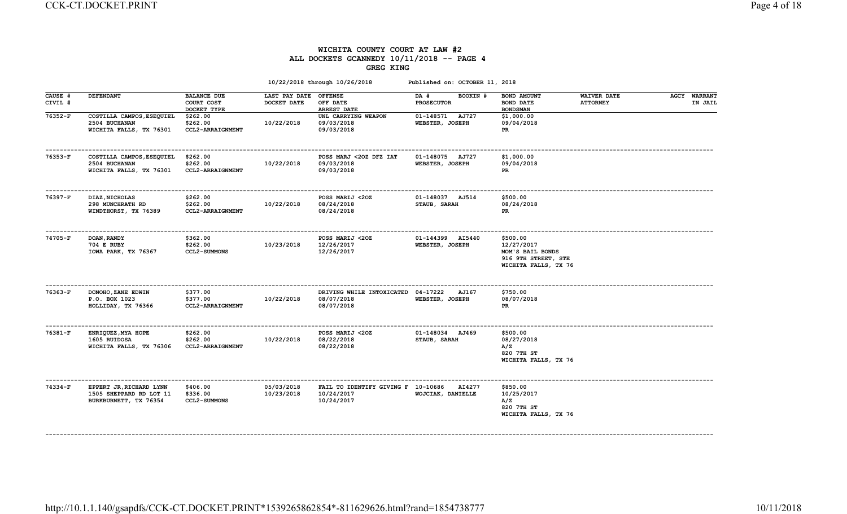### WICHITA COUNTY COURT AT LAW #2 ALL DOCKETS GCANNEDY 10/11/2018 -- PAGE 4 GREG KING

|                    |                                                                             |                                                 |                                     | 10/22/2018 through 10/26/2018                                         | Published on: OCTOBER 11, 2018        |                                                                                           |                                       |                                |
|--------------------|-----------------------------------------------------------------------------|-------------------------------------------------|-------------------------------------|-----------------------------------------------------------------------|---------------------------------------|-------------------------------------------------------------------------------------------|---------------------------------------|--------------------------------|
| CAUSE #<br>CIVIL # | <b>DEFENDANT</b>                                                            | <b>BALANCE DUE</b><br>COURT COST<br>DOCKET TYPE | <b>LAST PAY DATE</b><br>DOCKET DATE | <b>OFFENSE</b><br>OFF DATE<br>ARREST DATE                             | BOOKIN #<br>DA #<br><b>PROSECUTOR</b> | BOND AMOUNT<br><b>BOND DATE</b><br><b>BOND SMAN</b>                                       | <b>WAIVER DATE</b><br><b>ATTORNEY</b> | <b>AGCY WARRANT</b><br>IN JAIL |
| 76352-F            | COSTILLA CAMPOS, ESEQUIEL<br>2504 BUCHANAN<br>WICHITA FALLS, TX 76301       | \$262.00<br>\$262.00<br>CCL2-ARRAIGNMENT        | 10/22/2018                          | UNL CARRYING WEAPON<br>09/03/2018<br>09/03/2018                       | 01-148571 AJ727<br>WEBSTER, JOSEPH    | \$1,000.00<br>09/04/2018<br><b>PR</b>                                                     |                                       |                                |
| 76353-F            | COSTILLA CAMPOS, ESEQUIEL<br>2504 BUCHANAN<br>WICHITA FALLS, TX 76301       | \$262.00<br>\$262.00<br>CCL2-ARRAIGNMENT        | 10/22/2018                          | POSS MARJ <20Z DFZ IAT<br>09/03/2018<br>09/03/2018                    | 01-148075 AJ727<br>WEBSTER, JOSEPH    | \$1,000.00<br>09/04/2018<br>PR                                                            |                                       |                                |
| 76397-F            | DIAZ, NICHOLAS<br>298 MUNCHRATH RD<br>WINDTHORST, TX 76389                  | \$262.00<br>\$262.00<br>CCL2-ARRAIGNMENT        | 10/22/2018                          | POSS MARIJ <20Z<br>08/24/2018<br>08/24/2018                           | 01-148037 AJ514<br>STAUB, SARAH       | \$500.00<br>08/24/2018<br>PR                                                              |                                       |                                |
| 74705-F            | <b>DOAN, RANDY</b><br>704 E RUBY<br>IOWA PARK, TX 76367                     | \$362.00<br>\$262.00<br><b>CCL2-SUMMONS</b>     | 10/23/2018                          | POSS MARIJ <20Z<br>12/26/2017<br>12/26/2017                           | 01-144399 AI5440<br>WEBSTER, JOSEPH   | \$500.00<br>12/27/2017<br>MOM'S BAIL BONDS<br>916 9TH STREET, STE<br>WICHITA FALLS, TX 76 |                                       |                                |
| 76363-F            | DONOHO, ZANE EDWIN<br>P.O. BOX 1023<br>HOLLIDAY, TX 76366                   | \$377.00<br>\$377.00<br>CCL2-ARRAIGNMENT        | 10/22/2018                          | DRIVING WHILE INTOXICATED 04-17222 AJ167<br>08/07/2018<br>08/07/2018  | WEBSTER, JOSEPH                       | \$750.00<br>08/07/2018<br>PR                                                              |                                       |                                |
| 76381-F            | ENRIQUEZ, MYA HOPE<br>1605 RUIDOSA<br>WICHITA FALLS, TX 76306               | \$262.00<br>\$262.00<br><b>CCL2-ARRAIGNMENT</b> | 10/22/2018                          | POSS MARIJ <20Z<br>08/22/2018<br>08/22/2018                           | 01-148034 AJ469<br>STAUB, SARAH       | \$500.00<br>08/27/2018<br>A/Z<br>820 7TH ST<br>WICHITA FALLS, TX 76                       |                                       |                                |
| 74334-F            | EPPERT JR, RICHARD LYNN<br>1505 SHEPPARD RD LOT 11<br>BURKBURNETT, TX 76354 | \$406.00<br>\$336.00<br><b>CCL2-SUMMONS</b>     | 05/03/2018<br>10/23/2018            | FAIL TO IDENTIFY GIVING F 10-10686 AI4277<br>10/24/2017<br>10/24/2017 | WOJCIAK, DANIELLE                     | \$850.00<br>10/25/2017<br>A/Z<br>820 7TH ST<br>WICHITA FALLS, TX 76                       |                                       |                                |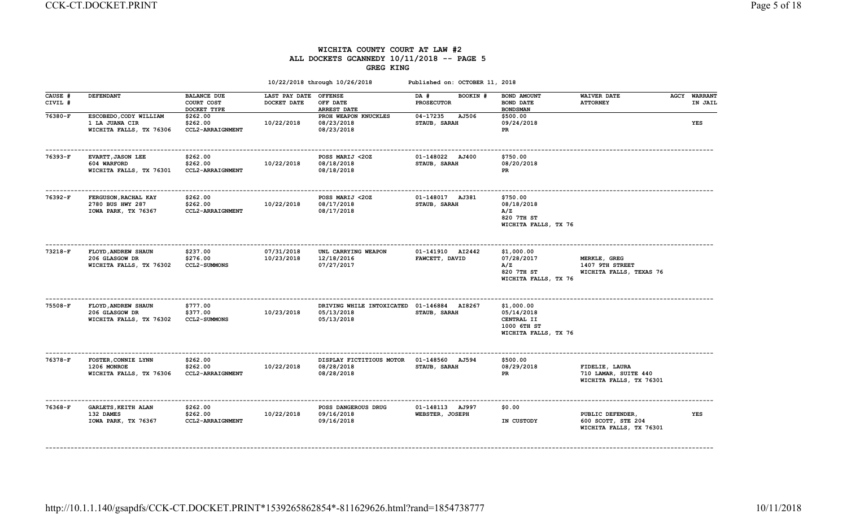# WICHITA COUNTY COURT AT LAW #2 ALL DOCKETS GCANNEDY 10/11/2018 -- PAGE 5 GREG KING

|                    |                                                                     |                                                 |                              | 10/22/2018 through 10/26/2018                         | Published on: OCTOBER 11, 2018        |                                                                               |                                                                   |                     |            |
|--------------------|---------------------------------------------------------------------|-------------------------------------------------|------------------------------|-------------------------------------------------------|---------------------------------------|-------------------------------------------------------------------------------|-------------------------------------------------------------------|---------------------|------------|
| CAUSE #<br>CIVIL # | <b>DEFENDANT</b>                                                    | <b>BALANCE DUE</b><br>COURT COST<br>DOCKET TYPE | LAST PAY DATE<br>DOCKET DATE | <b>OFFENSE</b><br>OFF DATE<br><b>ARREST DATE</b>      | DA #<br>BOOKIN #<br><b>PROSECUTOR</b> | BOND AMOUNT<br><b>BOND DATE</b><br><b>BOND SMAN</b>                           | <b>WAIVER DATE</b><br><b>ATTORNEY</b>                             | <b>AGCY WARRANT</b> | IN JAIL    |
| 76380-F            | ESCOBEDO, CODY WILLIAM<br>1 LA JUANA CIR<br>WICHITA FALLS, TX 76306 | \$262.00<br>\$262.00<br>CCL2-ARRAIGNMENT        | 10/22/2018                   | PROH WEAPON KNUCKLES<br>08/23/2018<br>08/23/2018      | 04-17235<br>AJ506<br>STAUB, SARAH     | \$500.00<br>09/24/2018<br>PR                                                  |                                                                   |                     | <b>YES</b> |
| $76393-F$          | EVARTT, JASON LEE<br>604 WARFORD<br>WICHITA FALLS, TX 76301         | \$262.00<br>\$262.00<br><b>CCL2-ARRAIGNMENT</b> | 10/22/2018                   | POSS MARIJ <20Z<br>08/18/2018<br>08/18/2018           | 01-148022 AJ400<br>STAUB, SARAH       | \$750.00<br>08/20/2018<br>PR                                                  |                                                                   |                     |            |
| 76392-F            | FERGUSON, RACHAL KAY<br>2780 BUS HWY 287<br>IOWA PARK, TX 76367     | \$262.00<br>\$262.00<br>CCL2-ARRAIGNMENT        | 10/22/2018                   | POSS MARIJ <20Z<br>08/17/2018<br>08/17/2018           | 01-148017 AJ381<br>STAUB, SARAH       | \$750.00<br>08/18/2018<br>A/Z<br>820 7TH ST<br>WICHITA FALLS, TX 76           |                                                                   |                     |            |
| 73218-F            | FLOYD, ANDREW SHAUN<br>206 GLASGOW DR<br>WICHITA FALLS, TX 76302    | \$237.00<br>\$276.00<br><b>CCL2-SUMMONS</b>     | 07/31/2018<br>10/23/2018     | UNL CARRYING WEAPON<br>12/18/2016<br>07/27/2017       | 01-141910 AI2442<br>FAWCETT, DAVID    | \$1,000.00<br>07/28/2017<br>A/Z<br>820 7TH ST<br>WICHITA FALLS, TX 76         | MERKLE, GREG<br>1407 9TH STREET<br>WICHITA FALLS, TEXAS 76        |                     |            |
| $75508-F$          | FLOYD, ANDREW SHAUN<br>206 GLASGOW DR<br>WICHITA FALLS, TX 76302    | \$777.00<br>\$377.00<br><b>CCL2-SUMMONS</b>     | 10/23/2018                   | DRIVING WHILE INTOXICATED<br>05/13/2018<br>05/13/2018 | 01-146884 AI8267<br>STAUB, SARAH      | \$1,000.00<br>05/14/2018<br>CENTRAL II<br>1000 6TH ST<br>WICHITA FALLS, TX 76 |                                                                   |                     |            |
| 76378-F            | FOSTER, CONNIE LYNN<br>1206 MONROE<br>WICHITA FALLS, TX 76306       | \$262.00<br>\$262.00<br>CCL2-ARRAIGNMENT        | 10/22/2018                   | DISPLAY FICTITIOUS MOTOR<br>08/28/2018<br>08/28/2018  | 01-148560 AJ594<br>STAUB, SARAH       | \$500.00<br>08/29/2018<br>PR                                                  | FIDELIE, LAURA<br>710 LAMAR, SUITE 440<br>WICHITA FALLS, TX 76301 |                     |            |
| 76368-F            | <b>GARLETS, KEITH ALAN</b><br>132 DAMES<br>IOWA PARK, TX 76367      | \$262.00<br>\$262.00<br>CCL2-ARRAIGNMENT        | 10/22/2018                   | POSS DANGEROUS DRUG<br>09/16/2018<br>09/16/2018       | 01-148113 AJ997<br>WEBSTER, JOSEPH    | \$0.00<br>IN CUSTODY                                                          | PUBLIC DEFENDER,<br>600 SCOTT, STE 204<br>WICHITA FALLS, TX 76301 |                     | YES        |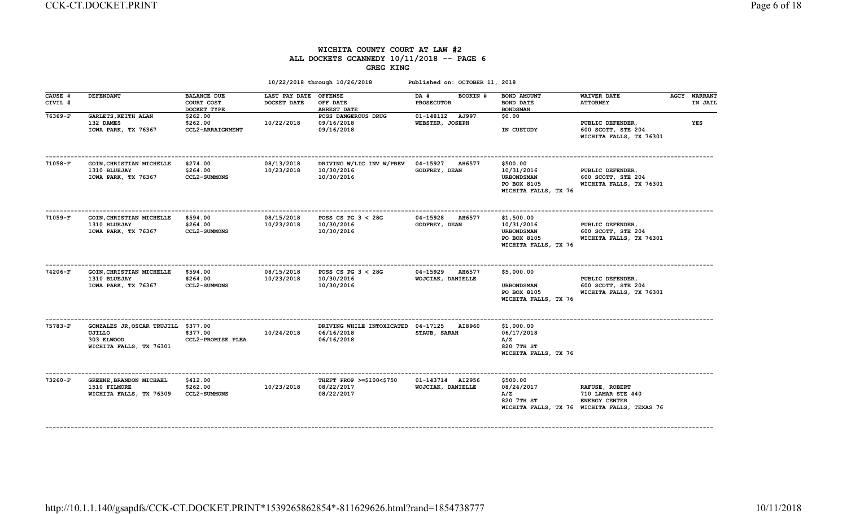### WICHITA COUNTY COURT AT LAW #2 ALL DOCKETS GCANNEDY 10/11/2018 -- PAGE 6 GREG KING

|                    |                                                                                        |                                                 |                                      | 10/22/2018 through 10/26/2018                                  | Published on: OCTOBER 11, 2018                 |                                                                                    |                                                                                                             |                                |
|--------------------|----------------------------------------------------------------------------------------|-------------------------------------------------|--------------------------------------|----------------------------------------------------------------|------------------------------------------------|------------------------------------------------------------------------------------|-------------------------------------------------------------------------------------------------------------|--------------------------------|
| CAUSE #<br>CIVIL # | <b>DEFENDANT</b>                                                                       | <b>BALANCE DUE</b><br>COURT COST<br>DOCKET TYPE | LAST PAY DATE OFFENSE<br>DOCKET DATE | OFF DATE<br><b>ARREST DATE</b>                                 | BOOKIN #<br>DA #<br><b>PROSECUTOR</b>          | BOND AMOUNT<br><b>BOND DATE</b><br><b>BOND SMAN</b>                                | <b>WAIVER DATE</b><br><b>ATTORNEY</b>                                                                       | <b>AGCY WARRANT</b><br>IN JAIL |
| 76369-F            | <b>GARLETS, KEITH ALAN</b><br>132 DAMES<br>IOWA PARK, TX 76367                         | \$262.00<br>\$262.00<br>CCL2-ARRAIGNMENT        | 10/22/2018                           | POSS DANGEROUS DRUG<br>09/16/2018<br>09/16/2018                | 01-148112 AJ997<br>WEBSTER, JOSEPH             | \$0.00<br>IN CUSTODY                                                               | PUBLIC DEFENDER,<br>600 SCOTT, STE 204<br>WICHITA FALLS, TX 76301                                           | YES                            |
| 71058-F            | GOIN, CHRISTIAN MICHELLE<br>1310 BLUEJAY<br>IOWA PARK, TX 76367                        | \$274.00<br>\$264.00<br><b>CCL2-SUMMONS</b>     | 08/13/2018<br>10/23/2018             | DRIVING W/LIC INV W/PREV<br>10/30/2016<br>10/30/2016           | 04-15927<br><b>AH6577</b><br>GODFREY, DEAN     | \$500.00<br>10/31/2016<br><b>URBONDSMAN</b><br>PO BOX 8105<br>WICHITA FALLS, TX 76 | PUBLIC DEFENDER,<br>600 SCOTT, STE 204<br>WICHITA FALLS, TX 76301                                           |                                |
| 71059-F            | GOIN, CHRISTIAN MICHELLE<br>1310 BLUEJAY<br>IOWA PARK, TX 76367                        | \$594.00<br>\$264.00<br><b>CCL2-SUMMONS</b>     | 08/15/2018<br>10/23/2018             | POSS CS PG $3 < 28$ G<br>10/30/2016<br>10/30/2016              | 04-15928<br><b>AH6577</b><br>GODFREY, DEAN     | \$1,500.00<br>10/31/2016<br>URBONDSMAN<br>PO BOX 8105<br>WICHITA FALLS, TX 76      | PUBLIC DEFENDER,<br>600 SCOTT, STE 204<br>WICHITA FALLS, TX 76301                                           |                                |
| 74206-F            | GOIN, CHRISTIAN MICHELLE<br>1310 BLUEJAY<br>IOWA PARK, TX 76367                        | \$594.00<br>\$264.00<br><b>CCL2-SUMMONS</b>     | 08/15/2018<br>10/23/2018             | POSS CS PG $3 < 28$ G<br>10/30/2016<br>10/30/2016              | 04-15929<br><b>AH6577</b><br>WOJCIAK, DANIELLE | \$5,000.00<br><b>URBONDSMAN</b><br>PO BOX 8105<br>WICHITA FALLS, TX 76             | PUBLIC DEFENDER,<br>600 SCOTT, STE 204<br>WICHITA FALLS, TX 76301                                           |                                |
| 75783-F            | GONZALES JR, OSCAR TRUJILL \$377.00<br>UJILLO<br>303 ELWOOD<br>WICHITA FALLS, TX 76301 | \$377.00<br>CCL2-PROMISE PLEA                   | 10/24/2018                           | DRIVING WHILE INTOXICATED 04-17125<br>06/16/2018<br>06/16/2018 | <b>AI8960</b><br>STAUB, SARAH                  | \$1,000.00<br>06/17/2018<br>A/Z<br>820 7TH ST<br>WICHITA FALLS, TX 76              |                                                                                                             |                                |
| 73260-F            | GREENE, BRANDON MICHAEL<br>1510 FILMORE<br>WICHITA FALLS, TX 76309                     | \$412.00<br>\$262.00<br><b>CCL2-SUMMONS</b>     | 10/23/2018                           | THEFT PROP >=\$100<\$750<br>08/22/2017<br>08/22/2017           | 01-143714 AI2956<br>WOJCIAK, DANIELLE          | \$500.00<br>08/24/2017<br>A/Z<br>820 7TH ST                                        | RAFUSE, ROBERT<br>710 LAMAR STE 440<br><b>ENERGY CENTER</b><br>WICHITA FALLS, TX 76 WICHITA FALLS, TEXAS 76 |                                |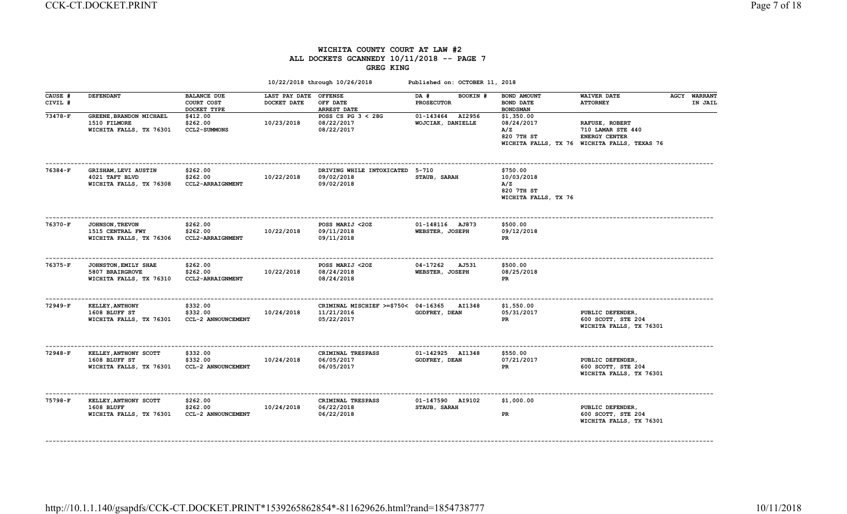## WICHITA COUNTY COURT AT LAW #2 ALL DOCKETS GCANNEDY 10/11/2018 -- PAGE 7 GREG KING

|                    |                                                                       |                                                 |                                      | 10/22/2018 through 10/26/2018                                   | Published on: OCTOBER 11, 2018           |                                                                     |                                                                                                             |                                |
|--------------------|-----------------------------------------------------------------------|-------------------------------------------------|--------------------------------------|-----------------------------------------------------------------|------------------------------------------|---------------------------------------------------------------------|-------------------------------------------------------------------------------------------------------------|--------------------------------|
| CAUSE #<br>CIVIL # | <b>DEFENDANT</b>                                                      | <b>BALANCE DUE</b><br>COURT COST<br>DOCKET TYPE | LAST PAY DATE OFFENSE<br>DOCKET DATE | OFF DATE<br>ARREST DATE                                         | DA #<br>BOOKIN #<br><b>PROSECUTOR</b>    | BOND AMOUNT<br><b>BOND DATE</b><br><b>BOND SMAN</b>                 | <b>WAIVER DATE</b><br><b>ATTORNEY</b>                                                                       | <b>AGCY WARRANT</b><br>IN JAIL |
| 73478-F            | GREENE, BRANDON MICHAEL<br>1510 FILMORE<br>WICHITA FALLS, TX 76301    | \$412.00<br>\$262.00<br><b>CCL2-SUMMONS</b>     | 10/23/2018                           | POSS CS PG $3 < 28$ G<br>08/22/2017<br>08/22/2017               | 01-143464<br>AI2956<br>WOJCIAK, DANIELLE | \$1,350.00<br>08/24/2017<br>A/Z<br>820 7TH ST                       | RAFUSE, ROBERT<br>710 LAMAR STE 440<br><b>ENERGY CENTER</b><br>WICHITA FALLS, TX 76 WICHITA FALLS, TEXAS 76 |                                |
| 76384-F            | GRISHAM, LEVI AUSTIN<br>4021 TAFT BLVD<br>WICHITA FALLS, TX 76308     | \$262.00<br>\$262.00<br>CCL2-ARRAIGNMENT        | 10/22/2018                           | DRIVING WHILE INTOXICATED 5-710<br>09/02/2018<br>09/02/2018     | STAUB, SARAH                             | \$750.00<br>10/03/2018<br>A/Z<br>820 7TH ST<br>WICHITA FALLS, TX 76 |                                                                                                             |                                |
| 76370-F            | <b>JOHNSON, TREVON</b><br>1515 CENTRAL FWY<br>WICHITA FALLS, TX 76306 | \$262.00<br>\$262.00<br><b>CCL2-ARRAIGNMENT</b> | 10/22/2018                           | POSS MARIJ <20Z<br>09/11/2018<br>09/11/2018                     | 01-148116 AJ873<br>WEBSTER, JOSEPH       | \$500.00<br>09/12/2018<br><b>PR</b>                                 |                                                                                                             |                                |
| 76375-F            | JOHNSTON, EMILY SHAE<br>5807 BRAIRGROVE<br>WICHITA FALLS, TX 76310    | \$262.00<br>\$262.00<br>CCL2-ARRAIGNMENT        | 10/22/2018                           | POSS MARIJ <20Z<br>08/24/2018<br>08/24/2018                     | 04-17262<br>AJ531<br>WEBSTER, JOSEPH     | \$500.00<br>08/25/2018<br>PR.                                       |                                                                                                             |                                |
| 72949-F            | <b>KELLEY, ANTHONY</b><br>1608 BLUFF ST<br>WICHITA FALLS, TX 76301    | \$332.00<br>\$332.00<br>CCL-2 ANNOUNCEMENT      | 10/24/2018                           | CRIMINAL MISCHIEF >=\$750< 04-16365<br>11/21/2016<br>05/22/2017 | <b>AI1348</b><br>GODFREY, DEAN           | \$1,550.00<br>05/31/2017<br>PR                                      | PUBLIC DEFENDER,<br>600 SCOTT, STE 204<br>WICHITA FALLS, TX 76301                                           |                                |
| 72948-F            | KELLEY, ANTHONY SCOTT<br>1608 BLUFF ST<br>WICHITA FALLS, TX 76301     | \$332.00<br>\$332.00<br>CCL-2 ANNOUNCEMENT      | 10/24/2018                           | CRIMINAL TRESPASS<br>06/05/2017<br>06/05/2017                   | 01-142925 AI1348<br>GODFREY, DEAN        | \$550.00<br>07/21/2017<br>PR.                                       | PUBLIC DEFENDER,<br>600 SCOTT, STE 204<br>WICHITA FALLS, TX 76301                                           |                                |
| 75798-F            | KELLEY, ANTHONY SCOTT<br>1608 BLUFF<br>WICHITA FALLS, TX 76301        | \$262.00<br>\$262.00<br>CCL-2 ANNOUNCEMENT      | 10/24/2018                           | CRIMINAL TRESPASS<br>06/22/2018<br>06/22/2018                   | 01-147590 AI9102<br>STAUB, SARAH         | \$1,000.00<br>PR                                                    | PUBLIC DEFENDER,<br>600 SCOTT, STE 204<br>WICHITA FALLS, TX 76301                                           |                                |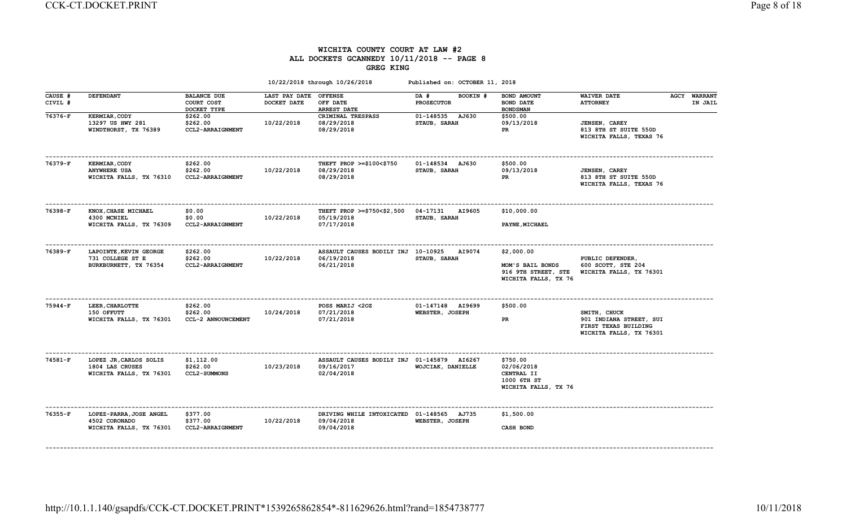#### WICHITA COUNTY COURT AT LAW #2 ALL DOCKETS GCANNEDY 10/11/2018 -- PAGE 8 GREG KING

|                    |                                                                        |                                                 |                              | 10/22/2018 through 10/26/2018                                          | Published on: OCTOBER 11, 2018        |                                                                               |                                                                                            |                                |
|--------------------|------------------------------------------------------------------------|-------------------------------------------------|------------------------------|------------------------------------------------------------------------|---------------------------------------|-------------------------------------------------------------------------------|--------------------------------------------------------------------------------------------|--------------------------------|
| CAUSE #<br>CIVIL # | <b>DEFENDANT</b>                                                       | <b>BALANCE DUE</b><br>COURT COST<br>DOCKET TYPE | LAST PAY DATE<br>DOCKET DATE | <b>OFFENSE</b><br>OFF DATE<br>ARREST DATE                              | BOOKIN #<br>DA #<br><b>PROSECUTOR</b> | BOND AMOUNT<br><b>BOND DATE</b><br><b>BONDSMAN</b>                            | <b>WAIVER DATE</b><br><b>ATTORNEY</b>                                                      | <b>AGCY WARRANT</b><br>IN JAIL |
| 76376-F            | <b>KERMIAR, CODY</b><br>13297 US HWY 281<br>WINDTHORST, TX 76389       | \$262.00<br>\$262.00<br>CCL2-ARRAIGNMENT        | 10/22/2018                   | CRIMINAL TRESPASS<br>08/29/2018<br>08/29/2018                          | 01-148535 AJ630<br>STAUB, SARAH       | \$500.00<br>09/13/2018<br>PR                                                  | <b>JENSEN, CAREY</b><br>813 8TH ST SUITE 550D<br>WICHITA FALLS, TEXAS 76                   |                                |
| 76379-F            | <b>KERMIAR, CODY</b><br><b>ANYWHERE USA</b><br>WICHITA FALLS, TX 76310 | \$262.00<br>\$262.00<br>CCL2-ARRAIGNMENT        | 10/22/2018                   | THEFT PROP >=\$100<\$750<br>08/29/2018<br>08/29/2018                   | 01-148534 AJ630<br>STAUB, SARAH       | \$500.00<br>09/13/2018<br>PR                                                  | <b>JENSEN, CAREY</b><br>813 8TH ST SUITE 550D<br>WICHITA FALLS, TEXAS 76                   |                                |
| 76398-F            | KNOX, CHASE MICHAEL<br>4300 MCNIEL<br>WICHITA FALLS, TX 76309          | \$0.00<br>\$0.00<br>CCL2-ARRAIGNMENT            | 10/22/2018                   | THEFT PROP >=\$750<\$2,500<br>05/19/2018<br>07/17/2018                 | 04-17131<br>AI9605<br>STAUB, SARAH    | \$10,000.00<br>PAYNE, MICHAEL                                                 |                                                                                            |                                |
| 76389-F            | LAPOINTE, KEVIN GEORGE<br>731 COLLEGE ST E<br>BURKBURNETT, TX 76354    | \$262.00<br>\$262.00<br>CCL2-ARRAIGNMENT        | 10/22/2018                   | ASSAULT CAUSES BODILY INJ 10-10925<br>06/19/2018<br>06/21/2018         | AI9074<br>STAUB, SARAH                | \$2,000.00<br>MOM'S BAIL BONDS<br>916 9TH STREET, STE<br>WICHITA FALLS, TX 76 | PUBLIC DEFENDER,<br>600 SCOTT, STE 204<br>WICHITA FALLS, TX 76301                          |                                |
| 75944-F            | LEER, CHARLOTTE<br>150 OFFUTT<br>WICHITA FALLS, TX 76301               | \$262.00<br>\$262.00<br>CCL-2 ANNOUNCEMENT      | 10/24/2018                   | POSS MARIJ <20Z<br>07/21/2018<br>07/21/2018                            | 01-147148 AI9699<br>WEBSTER, JOSEPH   | \$500.00<br>PR.                                                               | SMITH, CHUCK<br>901 INDIANA STREET, SUI<br>FIRST TEXAS BUILDING<br>WICHITA FALLS, TX 76301 |                                |
| 74581-F            | LOPEZ JR, CARLOS SOLIS<br>1804 LAS CRUSES<br>WICHITA FALLS, TX 76301   | \$1,112.00<br>\$262.00<br><b>CCL2-SUMMONS</b>   | 10/23/2018                   | ASSAULT CAUSES BODILY INJ 01-145879 AI6267<br>09/16/2017<br>02/04/2018 | WOJCIAK, DANIELLE                     | \$750.00<br>02/06/2018<br>CENTRAL II<br>1000 6TH ST<br>WICHITA FALLS, TX 76   |                                                                                            |                                |
| $76355 - F$        | LOPEZ-PARRA, JOSE ANGEL<br>4502 CORONADO<br>WICHITA FALLS, TX 76301    | \$377.00<br>\$377.00<br>CCL2-ARRAIGNMENT        | 10/22/2018                   | DRIVING WHILE INTOXICATED 01-148565 AJ735<br>09/04/2018<br>09/04/2018  | WEBSTER, JOSEPH                       | \$1,500.00<br><b>CASH BOND</b>                                                |                                                                                            |                                |
|                    |                                                                        |                                                 |                              |                                                                        |                                       |                                                                               |                                                                                            |                                |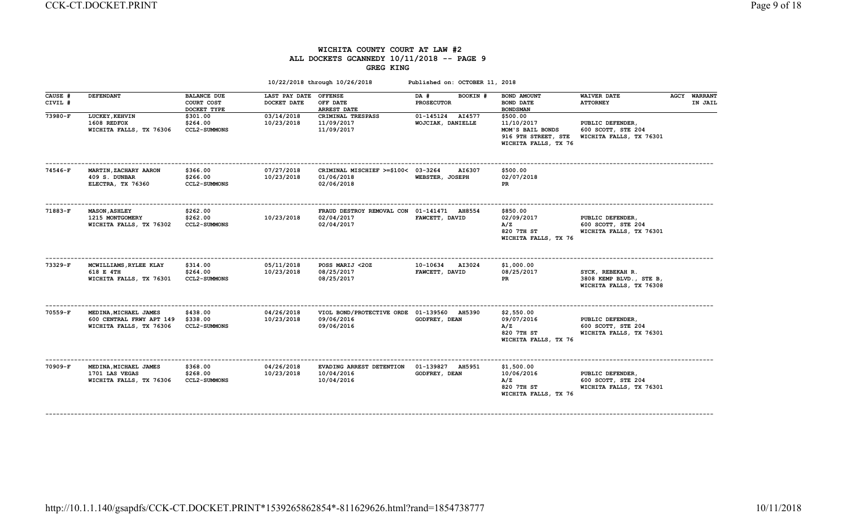## WICHITA COUNTY COURT AT LAW #2 ALL DOCKETS GCANNEDY 10/11/2018 -- PAGE 9 GREG KING

|                    |                                                                              |                                                 |                              | 10/22/2018 through 10/26/2018                                          | Published on: OCTOBER 11, 2018           |                                                                                           |                                                                        |                                |
|--------------------|------------------------------------------------------------------------------|-------------------------------------------------|------------------------------|------------------------------------------------------------------------|------------------------------------------|-------------------------------------------------------------------------------------------|------------------------------------------------------------------------|--------------------------------|
| CAUSE #<br>CIVIL # | <b>DEFENDANT</b>                                                             | <b>BALANCE DUE</b><br>COURT COST<br>DOCKET TYPE | LAST PAY DATE<br>DOCKET DATE | <b>OFFENSE</b><br>OFF DATE<br><b>ARREST DATE</b>                       | DA #<br>BOOKIN #<br><b>PROSECUTOR</b>    | BOND AMOUNT<br><b>BOND DATE</b><br><b>BOND SMAN</b>                                       | <b>WAIVER DATE</b><br><b>ATTORNEY</b>                                  | <b>AGCY WARRANT</b><br>IN JAIL |
| 73980-F            | LUCKEY, KEHVIN<br>1608 REDFOX<br>WICHITA FALLS, TX 76306                     | \$301.00<br>\$264.00<br><b>CCL2-SUMMONS</b>     | 03/14/2018<br>10/23/2018     | CRIMINAL TRESPASS<br>11/09/2017<br>11/09/2017                          | 01-145124<br>AI4577<br>WOJCIAK, DANIELLE | \$500.00<br>11/10/2017<br>MOM'S BAIL BONDS<br>916 9TH STREET, STE<br>WICHITA FALLS, TX 76 | PUBLIC DEFENDER,<br>600 SCOTT, STE 204<br>WICHITA FALLS, TX 76301      |                                |
| 74546-F            | MARTIN, ZACHARY AARON<br>409 S. DUNBAR<br>ELECTRA, TX 76360                  | \$366.00<br>\$266.00<br><b>CCL2-SUMMONS</b>     | 07/27/2018<br>10/23/2018     | CRIMINAL MISCHIEF >=\$100< 03-3264<br>01/06/2018<br>02/06/2018         | AI6307<br>WEBSTER, JOSEPH                | \$500.00<br>02/07/2018<br>PR                                                              |                                                                        |                                |
| 71883-F            | <b>MASON, ASHLEY</b><br>1215 MONTGOMERY<br>WICHITA FALLS, TX 76302           | \$262.00<br>\$262.00<br><b>CCL2-SUMMONS</b>     | 10/23/2018                   | FRAUD DESTROY REMOVAL CON 01-141471 AH8554<br>02/04/2017<br>02/04/2017 | FAWCETT, DAVID                           | \$850.00<br>02/09/2017<br>A/Z<br>820 7TH ST<br>WICHITA FALLS, TX 76                       | PUBLIC DEFENDER,<br>600 SCOTT, STE 204<br>WICHITA FALLS, TX 76301      |                                |
| 73329-F            | MCWILLIAMS, RYLEE KLAY<br>618 E 4TH<br>WICHITA FALLS, TX 76301               | \$314.00<br>\$264.00<br><b>CCL2-SUMMONS</b>     | 05/11/2018<br>10/23/2018     | POSS MARIJ <20Z<br>08/25/2017<br>08/25/2017                            | 10-10634<br>AI3024<br>FAWCETT, DAVID     | \$1,000.00<br>08/25/2017<br>PR                                                            | SYCK, REBEKAH R.<br>3808 KEMP BLVD., STE B,<br>WICHITA FALLS, TX 76308 |                                |
| 70559-F            | MEDINA, MICHAEL JAMES<br>600 CENTRAL FRWY APT 149<br>WICHITA FALLS, TX 76306 | \$438.00<br>\$338.00<br><b>CCL2-SUMMONS</b>     | 04/26/2018<br>10/23/2018     | VIOL BOND/PROTECTIVE ORDE 01-139560 AH5390<br>09/06/2016<br>09/06/2016 | <b>GODFREY, DEAN</b>                     | \$2,550.00<br>09/07/2016<br>A/Z<br>820 7TH ST<br>WICHITA FALLS, TX 76                     | PUBLIC DEFENDER,<br>600 SCOTT, STE 204<br>WICHITA FALLS, TX 76301      |                                |
| 70909-F            | MEDINA, MICHAEL JAMES<br>1701 LAS VEGAS<br>WICHITA FALLS, TX 76306           | \$368.00<br>\$268.00<br><b>CCL2-SUMMONS</b>     | 04/26/2018<br>10/23/2018     | EVADING ARREST DETENTION<br>10/04/2016<br>10/04/2016                   | 01-139827 AH5951<br><b>GODFREY, DEAN</b> | \$1,500.00<br>10/06/2016<br>A/Z<br>820 7TH ST<br>WICHITA FALLS, TX 76                     | PUBLIC DEFENDER,<br>600 SCOTT, STE 204<br>WICHITA FALLS, TX 76301      |                                |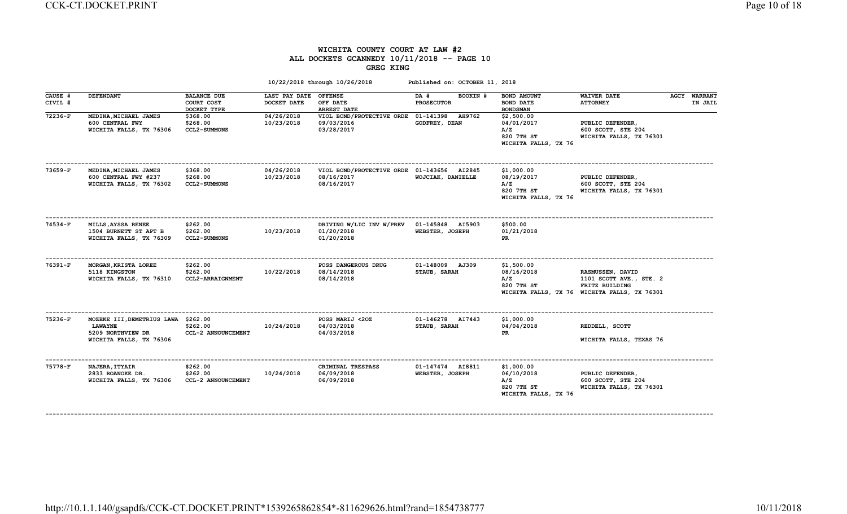### WICHITA COUNTY COURT AT LAW #2 ALL DOCKETS GCANNEDY 10/11/2018 -- PAGE 10 GREG KING

|                               |                                                                                                           |                                                             |                                                    | 10/22/2018 through 10/26/2018                                          | Published on: OCTOBER 11, 2018                  |                                                                       |                                                                                                               |                                |
|-------------------------------|-----------------------------------------------------------------------------------------------------------|-------------------------------------------------------------|----------------------------------------------------|------------------------------------------------------------------------|-------------------------------------------------|-----------------------------------------------------------------------|---------------------------------------------------------------------------------------------------------------|--------------------------------|
| CAUSE #<br>CIVIL #<br>72236-F | <b>DEFENDANT</b><br>MEDINA, MICHAEL JAMES                                                                 | <b>BALANCE DUE</b><br>COURT COST<br>DOCKET TYPE<br>\$368.00 | LAST PAY DATE OFFENSE<br>DOCKET DATE<br>04/26/2018 | OFF DATE<br><b>ARREST DATE</b><br>VIOL BOND/PROTECTIVE ORDE 01-141398  | DA #<br>BOOKIN #<br><b>PROSECUTOR</b><br>AH9762 | BOND AMOUNT<br><b>BOND DATE</b><br><b>BOND SMAN</b><br>\$2,500.00     | <b>WAIVER DATE</b><br><b>ATTORNEY</b>                                                                         | <b>AGCY WARRANT</b><br>IN JAIL |
|                               | 600 CENTRAL FWY<br>WICHITA FALLS, TX 76306                                                                | \$268.00<br><b>CCL2-SUMMONS</b>                             | 10/23/2018                                         | 09/03/2016<br>03/28/2017                                               | GODFREY, DEAN                                   | 04/01/2017<br>A/Z<br>820 7TH ST<br>WICHITA FALLS, TX 76               | PUBLIC DEFENDER,<br>600 SCOTT, STE 204<br>WICHITA FALLS, TX 76301                                             |                                |
| 73659-F                       | MEDINA, MICHAEL JAMES<br>600 CENTRAL FWY #237<br>WICHITA FALLS, TX 76302                                  | \$368.00<br>\$268.00<br><b>CCL2-SUMMONS</b>                 | 04/26/2018<br>10/23/2018                           | VIOL BOND/PROTECTIVE ORDE 01-143656 AI2845<br>08/16/2017<br>08/16/2017 | WOJCIAK, DANIELLE                               | \$1,000.00<br>08/19/2017<br>A/Z<br>820 7TH ST<br>WICHITA FALLS, TX 76 | PUBLIC DEFENDER,<br>600 SCOTT, STE 204<br>WICHITA FALLS, TX 76301                                             |                                |
| 74534-F                       | MILLS, AYSSA RENEE<br>1504 BURNETT ST APT B<br>WICHITA FALLS, TX 76309                                    | \$262.00<br>\$262.00<br><b>CCL2-SUMMONS</b>                 | 10/23/2018                                         | DRIVING W/LIC INV W/PREV 01-145848 AI5903<br>01/20/2018<br>01/20/2018  | WEBSTER, JOSEPH                                 | \$500.00<br>01/21/2018<br>PR                                          |                                                                                                               |                                |
| $76391-F$                     | MORGAN, KRISTA LOREE<br>5118 KINGSTON<br>WICHITA FALLS, TX 76310                                          | \$262.00<br>\$262.00<br>CCL2-ARRAIGNMENT                    | 10/22/2018                                         | POSS DANGEROUS DRUG<br>08/14/2018<br>08/14/2018                        | 01-148009 AJ309<br>STAUB, SARAH                 | \$1,500.00<br>08/16/2018<br>A/Z<br>820 7TH ST                         | RASMUSSEN, DAVID<br>1101 SCOTT AVE., STE. 2<br>FRITZ BUILDING<br>WICHITA FALLS, TX 76 WICHITA FALLS, TX 76301 |                                |
| 75236-F                       | MOZEKE III, DEMETRIUS LAWA \$262.00<br><b>LAWAYNE</b><br>5209 NORTHVIEW DR<br>WICHITA FALLS, TX 76306     | \$262.00<br>CCL-2 ANNOUNCEMENT                              | 10/24/2018                                         | POSS MARIJ <20Z<br>04/03/2018<br>04/03/2018                            | 01-146278 AI7443<br>STAUB, SARAH                | \$1,000.00<br>04/04/2018<br>PR                                        | REDDELL, SCOTT<br>WICHITA FALLS, TEXAS 76                                                                     |                                |
| 75778-F                       | ---------------------------------<br><b>NAJERA, ITYAIR</b><br>2833 ROANOKE DR.<br>WICHITA FALLS, TX 76306 | \$262.00<br>\$262.00<br>CCL-2 ANNOUNCEMENT                  | 10/24/2018                                         | CRIMINAL TRESPASS<br>06/09/2018<br>06/09/2018                          | 01-147474 AI8811<br>WEBSTER, JOSEPH             | \$1,000.00<br>06/10/2018<br>A/Z<br>820 7TH ST<br>WICHITA FALLS, TX 76 | PUBLIC DEFENDER,<br>600 SCOTT, STE 204<br>WICHITA FALLS, TX 76301                                             |                                |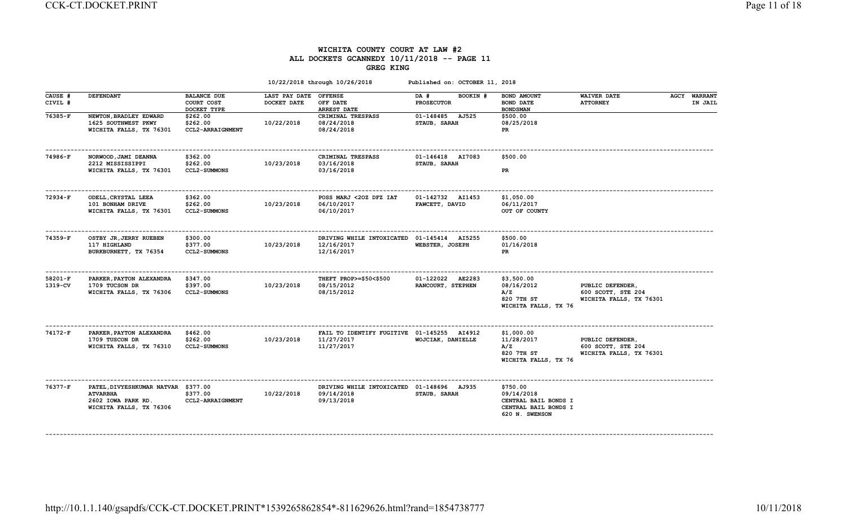#### WICHITA COUNTY COURT AT LAW #2 ALL DOCKETS GCANNEDY 10/11/2018 -- PAGE 11 GREG KING

| CAUSE #<br>CIVIL #   | <b>DEFENDANT</b>                                                                                        | <b>BALANCE DUE</b><br>COURT COST            | <b>LAST PAY DATE</b><br>DOCKET DATE | <b>OFFENSE</b><br>OFF DATE                                             | BOOKIN #<br>DA #<br><b>PROSECUTOR</b> | BOND AMOUNT<br><b>BOND DATE</b>                                                          | <b>WAIVER DATE</b><br><b>ATTORNEY</b>                             | <b>AGCY WARRANT</b><br>IN JAIL |
|----------------------|---------------------------------------------------------------------------------------------------------|---------------------------------------------|-------------------------------------|------------------------------------------------------------------------|---------------------------------------|------------------------------------------------------------------------------------------|-------------------------------------------------------------------|--------------------------------|
|                      |                                                                                                         | DOCKET TYPE                                 |                                     | <b>ARREST DATE</b>                                                     |                                       | <b>BOND SMAN</b>                                                                         |                                                                   |                                |
| 76385-F              | NEWTON, BRADLEY EDWARD<br>1625 SOUTHWEST PKWY<br>WICHITA FALLS, TX 76301                                | \$262.00<br>\$262.00<br>CCL2-ARRAIGNMENT    | 10/22/2018                          | CRIMINAL TRESPASS<br>08/24/2018<br>08/24/2018                          | 01-148485 AJ525<br>STAUB, SARAH       | \$500.00<br>08/25/2018<br>PR                                                             |                                                                   |                                |
| 74986-F              | NORWOOD, JAMI DEANNA<br>2212 MISSISSIPPI<br>WICHITA FALLS, TX 76301                                     | \$362.00<br>\$262.00<br><b>CCL2-SUMMONS</b> | 10/23/2018                          | CRIMINAL TRESPASS<br>03/16/2018<br>03/16/2018                          | 01-146418 AI7083<br>STAUB, SARAH      | \$500.00<br>PR                                                                           |                                                                   |                                |
| $72934-F$            | <b>ODELL, CRYSTAL LEEA</b><br>101 BONHAM DRIVE<br>WICHITA FALLS, TX 76301                               | \$362.00<br>\$262.00<br><b>CCL2-SUMMONS</b> | 10/23/2018                          | POSS MARJ <20Z DFZ IAT<br>06/10/2017<br>06/10/2017                     | 01-142732 AI1453<br>FAWCETT, DAVID    | \$1,050.00<br>06/11/2017<br>OUT OF COUNTY                                                |                                                                   |                                |
| 74359-F              | OSTBY JR, JERRY RUEBEN<br>117 HIGHLAND<br>BURKBURNETT, TX 76354                                         | \$300.00<br>\$377.00<br><b>CCL2-SUMMONS</b> | 10/23/2018                          | DRIVING WHILE INTOXICATED<br>12/16/2017<br>12/16/2017                  | 01-145414 AI5255<br>WEBSTER, JOSEPH   | \$500.00<br>01/16/2018<br>PR                                                             |                                                                   |                                |
| $58201-F$<br>1319-CV | PARKER, PAYTON ALEXANDRA<br>1709 TUCSON DR<br>WICHITA FALLS, TX 76306                                   | \$347.00<br>\$397.00<br><b>CCL2-SUMMONS</b> | 10/23/2018                          | THEFT PROP>=\$50<\$500<br>08/15/2012<br>08/15/2012                     | 01-122022 AE2283<br>RANCOURT, STEPHEN | \$3,500.00<br>08/16/2012<br>A/Z<br>820 7TH ST<br>WICHITA FALLS, TX 76                    | PUBLIC DEFENDER,<br>600 SCOTT, STE 204<br>WICHITA FALLS, TX 76301 |                                |
| 74172-F              | PARKER, PAYTON ALEXANDRA<br>1709 TUSCON DR<br>WICHITA FALLS, TX 76310                                   | \$462.00<br>\$262.00<br><b>CCL2-SUMMONS</b> | 10/23/2018                          | FAIL TO IDENTIFY FUGITIVE 01-145255 AI4912<br>11/27/2017<br>11/27/2017 | WOJCIAK, DANIELLE                     | \$1,000.00<br>11/28/2017<br>A/Z<br>820 7TH ST<br>WICHITA FALLS, TX 76                    | PUBLIC DEFENDER,<br>600 SCOTT, STE 204<br>WICHITA FALLS, TX 76301 |                                |
| 76377-F              | PATEL, DIVYESHKUMAR NATVAR \$377.00<br><b>ATVARBHA</b><br>2602 IOWA PARK RD.<br>WICHITA FALLS, TX 76306 | \$377.00<br>CCL2-ARRAIGNMENT                | 10/22/2018                          | DRIVING WHILE INTOXICATED 01-148696 AJ935<br>09/14/2018<br>09/13/2018  | STAUB, SARAH                          | \$750.00<br>09/14/2018<br>CENTRAL BAIL BONDS I<br>CENTRAL BAIL BONDS I<br>620 N. SWENSON |                                                                   |                                |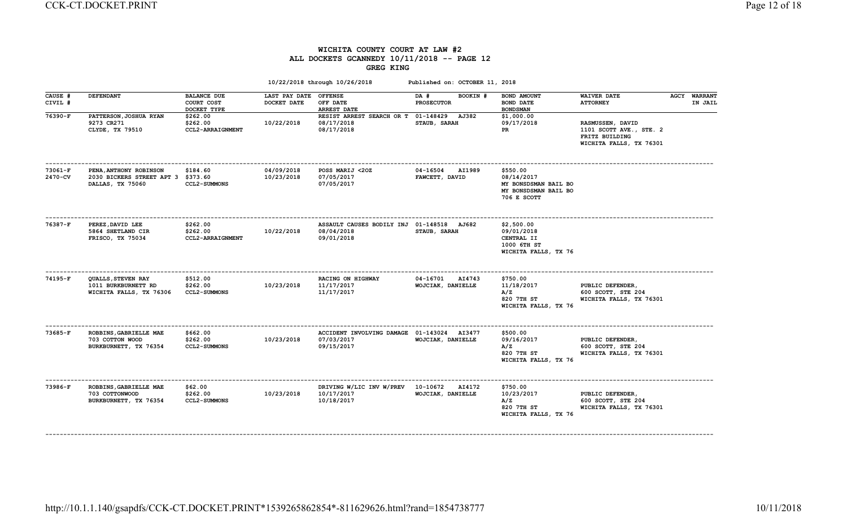#### WICHITA COUNTY COURT AT LAW #2 ALL DOCKETS GCANNEDY 10/11/2018 -- PAGE 12 GREG KING

|                      |                                                                                  |                                                 |                                      | 10/22/2018 through 10/26/2018                                          | Published on: OCTOBER 11, 2018                  |                                                                                       |                                                                                          |                                |
|----------------------|----------------------------------------------------------------------------------|-------------------------------------------------|--------------------------------------|------------------------------------------------------------------------|-------------------------------------------------|---------------------------------------------------------------------------------------|------------------------------------------------------------------------------------------|--------------------------------|
| CAUSE #<br>CIVIL #   | <b>DEFENDANT</b>                                                                 | <b>BALANCE DUE</b><br>COURT COST<br>DOCKET TYPE | LAST PAY DATE OFFENSE<br>DOCKET DATE | OFF DATE<br><b>ARREST DATE</b>                                         | DA #<br>BOOKIN #<br><b>PROSECUTOR</b>           | BOND AMOUNT<br><b>BOND DATE</b><br><b>BOND SMAN</b>                                   | <b>WAIVER DATE</b><br><b>ATTORNEY</b>                                                    | <b>AGCY WARRANT</b><br>IN JAIL |
| 76390-F              | PATTERSON, JOSHUA RYAN<br>9273 CR271<br>CLYDE, TX 79510                          | \$262.00<br>\$262.00<br>CCL2-ARRAIGNMENT        | 10/22/2018                           | RESIST ARREST SEARCH OR T 01-148429 AJ382<br>08/17/2018<br>08/17/2018  | STAUB, SARAH                                    | \$1,000.00<br>09/17/2018<br>PR.                                                       | RASMUSSEN, DAVID<br>1101 SCOTT AVE., STE. 2<br>FRITZ BUILDING<br>WICHITA FALLS, TX 76301 |                                |
| $73061-F$<br>2470-CV | PENA, ANTHONY ROBINSON<br>2030 BICKERS STREET APT 3 \$373.60<br>DALLAS, TX 75060 | \$184.60<br><b>CCL2-SUMMONS</b>                 | 04/09/2018<br>10/23/2018             | POSS MARIJ <20Z<br>07/05/2017<br>07/05/2017                            | $04 - 16504$<br><b>AI1989</b><br>FAWCETT, DAVID | \$550.00<br>08/14/2017<br>MY BONSDSMAN BAIL BO<br>MY BONSDSMAN BAIL BO<br>706 E SCOTT |                                                                                          |                                |
| 76387-F              | PEREZ, DAVID LEE<br>5864 SHETLAND CIR<br>FRISCO, TX 75034                        | \$262.00<br>\$262.00<br>CCL2-ARRAIGNMENT        | 10/22/2018                           | ASSAULT CAUSES BODILY INJ 01-148518 AJ682<br>08/04/2018<br>09/01/2018  | STAUB, SARAH                                    | \$2,500.00<br>09/01/2018<br>CENTRAL II<br>1000 6TH ST<br>WICHITA FALLS, TX 76         |                                                                                          |                                |
| 74195-F              | QUALLS, STEVEN RAY<br>1011 BURKBURNETT RD<br>WICHITA FALLS, TX 76306             | \$512.00<br>\$262.00<br><b>CCL2-SUMMONS</b>     | 10/23/2018                           | RACING ON HIGHWAY<br>11/17/2017<br>11/17/2017                          | 04-16701<br>AI4743<br>WOJCIAK, DANIELLE         | \$750.00<br>11/18/2017<br>A/Z<br>820 7TH ST<br>WICHITA FALLS, TX 76                   | PUBLIC DEFENDER,<br>600 SCOTT, STE 204<br>WICHITA FALLS, TX 76301                        |                                |
| 73685-F              | ROBBINS, GABRIELLE MAE<br>703 COTTON WOOD<br>BURKBURNETT, TX 76354               | \$662.00<br>\$262.00<br><b>CCL2-SUMMONS</b>     | 10/23/2018                           | ACCIDENT INVOLVING DAMAGE 01-143024 AI3477<br>07/03/2017<br>09/15/2017 | WOJCIAK, DANIELLE                               | \$500.00<br>09/16/2017<br>A/Z<br>820 7TH ST<br>WICHITA FALLS, TX 76                   | PUBLIC DEFENDER,<br>600 SCOTT, STE 204<br>WICHITA FALLS, TX 76301                        |                                |
| 73986-F              | ROBBINS, GABRIELLE MAE<br>703 COTTONWOOD<br>BURKBURNETT, TX 76354                | \$62.00<br>\$262.00<br><b>CCL2-SUMMONS</b>      | 10/23/2018                           | DRIVING W/LIC INV W/PREV<br>10/17/2017<br>10/18/2017                   | 10-10672<br><b>AI4172</b><br>WOJCIAK, DANIELLE  | \$750.00<br>10/23/2017<br>A/Z<br>820 7TH ST<br>WICHITA FALLS, TX 76                   | PUBLIC DEFENDER,<br>600 SCOTT, STE 204<br>WICHITA FALLS, TX 76301                        |                                |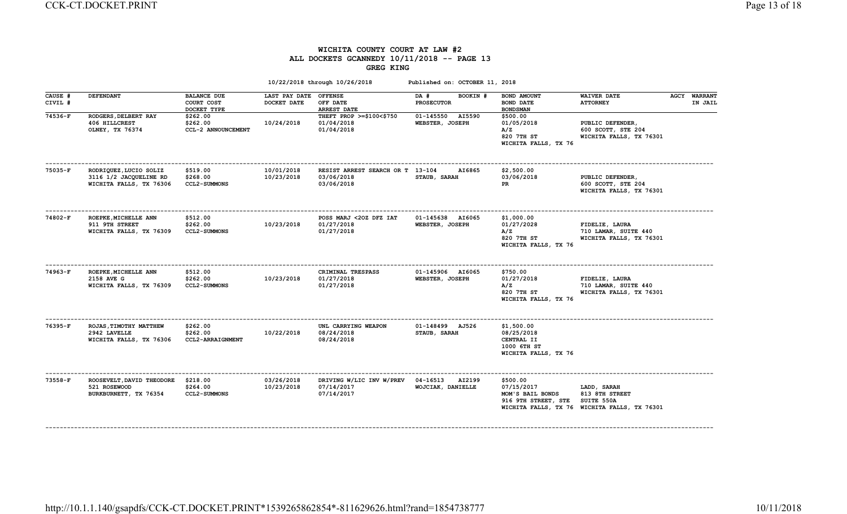#### WICHITA COUNTY COURT AT LAW #2 ALL DOCKETS GCANNEDY 10/11/2018 -- PAGE 13 GREG KING

|                    |                                                                             |                                                 |                              | 10/22/2018 through 10/26/2018                                 | Published on: OCTOBER 11, 2018                |                                                                               |                                                                                             |                         |
|--------------------|-----------------------------------------------------------------------------|-------------------------------------------------|------------------------------|---------------------------------------------------------------|-----------------------------------------------|-------------------------------------------------------------------------------|---------------------------------------------------------------------------------------------|-------------------------|
| CAUSE #<br>CIVIL # | <b>DEFENDANT</b>                                                            | <b>BALANCE DUE</b><br>COURT COST<br>DOCKET TYPE | LAST PAY DATE<br>DOCKET DATE | <b>OFFENSE</b><br>OFF DATE<br><b>ARREST DATE</b>              | DA #<br>BOOKIN #<br><b>PROSECUTOR</b>         | BOND AMOUNT<br><b>BOND DATE</b><br><b>BOND SMAN</b>                           | <b>WAIVER DATE</b><br><b>ATTORNEY</b>                                                       | AGCY WARRANT<br>IN JAIL |
| 74536-F            | RODGERS, DELBERT RAY<br>406 HILLCREST<br>OLNEY, TX 76374                    | \$262.00<br>\$262.00<br>CCL-2 ANNOUNCEMENT      | 10/24/2018                   | THEFT PROP >=\$100<\$750<br>01/04/2018<br>01/04/2018          | 01-145550<br><b>AI5590</b><br>WEBSTER, JOSEPH | \$500.00<br>01/05/2018<br>A/Z<br>820 7TH ST<br>WICHITA FALLS, TX 76           | PUBLIC DEFENDER,<br>600 SCOTT, STE 204<br>WICHITA FALLS, TX 76301                           |                         |
| 75035-F            | RODRIQUEZ, LUCIO SOLIZ<br>3116 1/2 JACQUELINE RD<br>WICHITA FALLS, TX 76306 | \$519.00<br>\$268.00<br><b>CCL2-SUMMONS</b>     | 10/01/2018<br>10/23/2018     | RESIST ARREST SEARCH OR T 13-104<br>03/06/2018<br>03/06/2018  | AI6865<br>STAUB, SARAH                        | \$2,500.00<br>03/06/2018<br>PR                                                | PUBLIC DEFENDER,<br>600 SCOTT, STE 204<br>WICHITA FALLS, TX 76301                           |                         |
| 74802-F            | ROEPKE, MICHELLE ANN<br>911 9TH STREET<br>WICHITA FALLS, TX 76309           | \$512.00<br>\$262.00<br><b>CCL2-SUMMONS</b>     | 10/23/2018                   | POSS MARJ <20Z DFZ IAT<br>01/27/2018<br>01/27/2018            | 01-145638 AI6065<br>WEBSTER, JOSEPH           | \$1,000.00<br>01/27/2028<br>A/Z<br>820 7TH ST<br>WICHITA FALLS, TX 76         | FIDELIE, LAURA<br>710 LAMAR, SUITE 440<br>WICHITA FALLS, TX 76301                           |                         |
| 74963-F            | ROEPKE, MICHELLE ANN<br>2158 AVE G<br>WICHITA FALLS, TX 76309               | \$512.00<br>\$262.00<br><b>CCL2-SUMMONS</b>     | 10/23/2018                   | CRIMINAL TRESPASS<br>01/27/2018<br>01/27/2018                 | 01-145906 AI6065<br>WEBSTER, JOSEPH           | \$750.00<br>01/27/2018<br>A/Z<br>820 7TH ST<br>WICHITA FALLS, TX 76           | FIDELIE, LAURA<br>710 LAMAR, SUITE 440<br>WICHITA FALLS, TX 76301                           |                         |
| 76395-F            | ROJAS, TIMOTHY MATTHEW<br>2942 LAVELLE<br>WICHITA FALLS, TX 76306           | \$262.00<br>\$262.00<br><b>CCL2-ARRAIGNMENT</b> | 10/22/2018                   | UNL CARRYING WEAPON<br>08/24/2018<br>08/24/2018               | 01-148499 AJ526<br>STAUB, SARAH               | \$1,500.00<br>08/25/2018<br>CENTRAL II<br>1000 6TH ST<br>WICHITA FALLS, TX 76 |                                                                                             |                         |
| $73558-F$          | ROOSEVELT, DAVID THEODORE<br>521 ROSEWOOD<br>BURKBURNETT, TX 76354          | \$218.00<br>\$264.00<br><b>CCL2-SUMMONS</b>     | 03/26/2018<br>10/23/2018     | DRIVING W/LIC INV W/PREV 04-16513<br>07/14/2017<br>07/14/2017 | AI2199<br>WOJCIAK, DANIELLE                   | \$500.00<br>07/15/2017<br>MOM'S BAIL BONDS<br>916 9TH STREET, STE             | LADD, SARAH<br>813 8TH STREET<br>SUITE 550A<br>WICHITA FALLS, TX 76 WICHITA FALLS, TX 76301 |                         |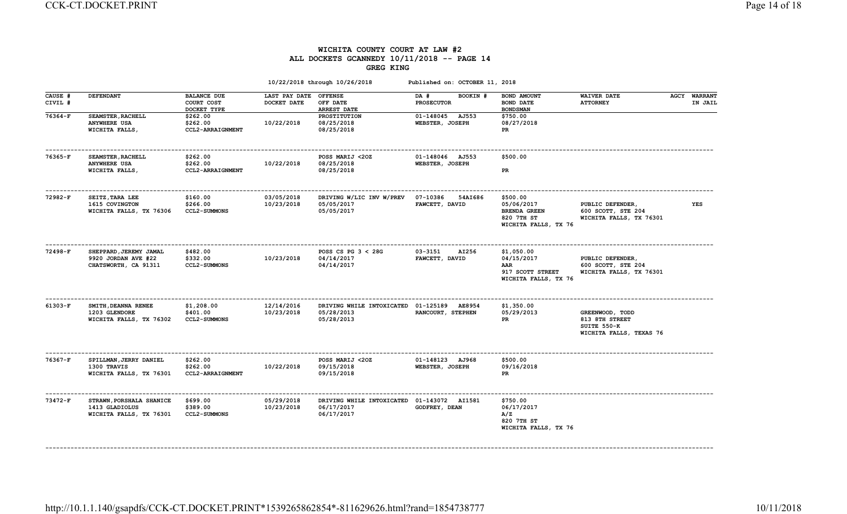### WICHITA COUNTY COURT AT LAW #2 ALL DOCKETS GCANNEDY 10/11/2018 -- PAGE 14 GREG KING

|                    |                                                                       |                                                 |                              | 10/22/2018 through 10/26/2018                                          | Published on: OCTOBER 11, 2018        |                                                                                     |                                                                             |                                |
|--------------------|-----------------------------------------------------------------------|-------------------------------------------------|------------------------------|------------------------------------------------------------------------|---------------------------------------|-------------------------------------------------------------------------------------|-----------------------------------------------------------------------------|--------------------------------|
| CAUSE #<br>CIVIL # | <b>DEFENDANT</b>                                                      | <b>BALANCE DUE</b><br>COURT COST<br>DOCKET TYPE | LAST PAY DATE<br>DOCKET DATE | <b>OFFENSE</b><br>OFF DATE<br><b>ARREST DATE</b>                       | DA #<br>BOOKIN #<br><b>PROSECUTOR</b> | BOND AMOUNT<br><b>BOND DATE</b><br><b>BOND SMAN</b>                                 | <b>WAIVER DATE</b><br><b>ATTORNEY</b>                                       | <b>AGCY WARRANT</b><br>IN JAIL |
| 76364-F            | <b>SEAMSTER, RACHELL</b><br><b>ANYWHERE USA</b><br>WICHITA FALLS,     | \$262.00<br>\$262.00<br>CCL2-ARRAIGNMENT        | 10/22/2018                   | PROSTITUTION<br>08/25/2018<br>08/25/2018                               | 01-148045 AJ553<br>WEBSTER, JOSEPH    | \$750.00<br>08/27/2018<br>PR                                                        |                                                                             |                                |
| 76365-F            | SEAMSTER, RACHELL<br><b>ANYWHERE USA</b><br>WICHITA FALLS,            | \$262.00<br>\$262.00<br>CCL2-ARRAIGNMENT        | 10/22/2018                   | POSS MARIJ <20Z<br>08/25/2018<br>08/25/2018                            | 01-148046 AJ553<br>WEBSTER, JOSEPH    | \$500.00<br>PR.                                                                     |                                                                             |                                |
| 72982-F            | SEITZ, TARA LEE<br>1615 COVINGTON<br>WICHITA FALLS, TX 76306          | \$160.00<br>\$266.00<br><b>CCL2-SUMMONS</b>     | 03/05/2018<br>10/23/2018     | DRIVING W/LIC INV W/PREV<br>05/05/2017<br>05/05/2017                   | 07-10386<br>54AI686<br>FAWCETT, DAVID | \$500.00<br>05/06/2017<br><b>BRENDA GREEN</b><br>820 7TH ST<br>WICHITA FALLS, TX 76 | PUBLIC DEFENDER,<br>600 SCOTT, STE 204<br>WICHITA FALLS, TX 76301           | YES                            |
| 72498-F            | SHEPPARD, JEREMY JAMAL<br>9920 JORDAN AVE #22<br>CHATSWORTH, CA 91311 | \$482.00<br>\$332.00<br><b>CCL2-SUMMONS</b>     | 10/23/2018                   | POSS CS PG $3 < 28$ G<br>04/14/2017<br>04/14/2017                      | 03-3151<br>AI256<br>FAWCETT, DAVID    | \$1,050.00<br>04/15/2017<br>AAR<br>917 SCOTT STREET<br>WICHITA FALLS, TX 76         | PUBLIC DEFENDER,<br>600 SCOTT, STE 204<br>WICHITA FALLS, TX 76301           |                                |
| $61303-F$          | SMITH, DEANNA RENEE<br>1203 GLENDORE<br>WICHITA FALLS, TX 76302       | \$1,208.00<br>\$401.00<br><b>CCL2-SUMMONS</b>   | 12/14/2016<br>10/23/2018     | DRIVING WHILE INTOXICATED 01-125189 AE8954<br>05/28/2013<br>05/28/2013 | RANCOURT, STEPHEN                     | \$1,350.00<br>05/29/2013<br>PR                                                      | GREENWOOD, TODD<br>813 8TH STREET<br>SUITE 550-K<br>WICHITA FALLS, TEXAS 76 |                                |
| 76367-F            | SPILLMAN, JERRY DANIEL<br>1300 TRAVIS<br>WICHITA FALLS, TX 76301      | \$262.00<br>\$262.00<br>CCL2-ARRAIGNMENT        | 10/22/2018                   | POSS MARIJ <20Z<br>09/15/2018<br>09/15/2018                            | 01-148123 AJ968<br>WEBSTER, JOSEPH    | \$500.00<br>09/16/2018<br><b>PR</b>                                                 |                                                                             |                                |
| 73472-F            | STRAWN, PORSHALA SHANICE<br>1413 GLADIOLUS<br>WICHITA FALLS, TX 76301 | \$699.00<br>\$389.00<br><b>CCL2-SUMMONS</b>     | 05/29/2018<br>10/23/2018     | DRIVING WHILE INTOXICATED 01-143072 AI1581<br>06/17/2017<br>06/17/2017 | <b>GODFREY, DEAN</b>                  | \$750.00<br>06/17/2017<br>A/Z<br>820 7TH ST<br>WICHITA FALLS, TX 76                 |                                                                             |                                |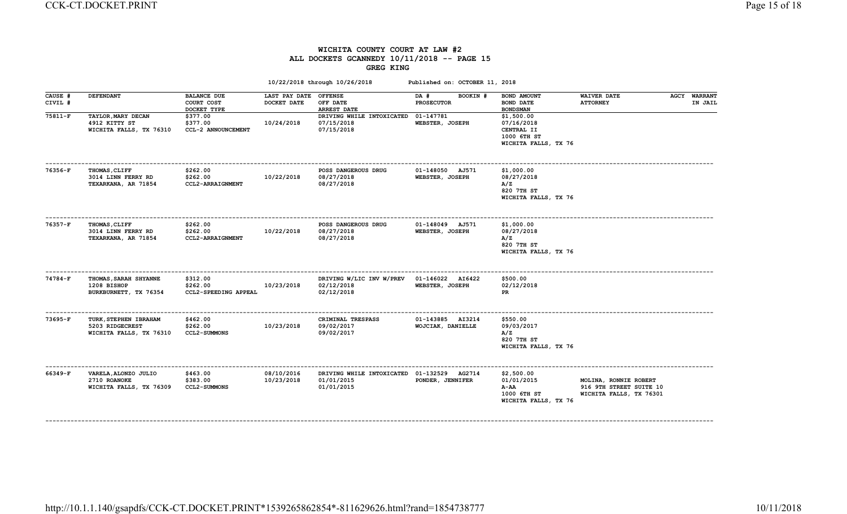### WICHITA COUNTY COURT AT LAW #2 ALL DOCKETS GCANNEDY 10/11/2018 -- PAGE 15 GREG KING

| <b>DEFENDANT</b>                                                    | <b>BALANCE DUE</b><br>COURT COST<br>DOCKET TYPE | DOCKET DATE              | <b>OFFENSE</b><br>OFF DATE<br>ARREST DATE             | BOOKIN #<br>DA #<br><b>PROSECUTOR</b> | BOND AMOUNT<br><b>BOND DATE</b><br><b>BOND SMAN</b>                           | <b>WAIVER DATE</b><br><b>ATTORNEY</b>                                       | <b>WARRANT</b><br><b>AGCY</b><br>IN JAIL                        |
|---------------------------------------------------------------------|-------------------------------------------------|--------------------------|-------------------------------------------------------|---------------------------------------|-------------------------------------------------------------------------------|-----------------------------------------------------------------------------|-----------------------------------------------------------------|
| TAYLOR, MARY DECAN<br>4912 KITTY ST<br>WICHITA FALLS, TX 76310      | \$377.00<br>\$377.00<br>CCL-2 ANNOUNCEMENT      | 10/24/2018               | DRIVING WHILE INTOXICATED<br>07/15/2018<br>07/15/2018 | 01-147781<br>WEBSTER, JOSEPH          | \$1,500.00<br>07/16/2018<br>CENTRAL II<br>1000 6TH ST<br>WICHITA FALLS, TX 76 |                                                                             |                                                                 |
| <b>THOMAS, CLIFF</b><br>3014 LINN FERRY RD<br>TEXARKANA, AR 71854   | \$262.00<br>\$262.00<br>CCL2-ARRAIGNMENT        | 10/22/2018               | POSS DANGEROUS DRUG<br>08/27/2018<br>08/27/2018       | 01-148050 AJ571<br>WEBSTER, JOSEPH    | \$1,000.00<br>08/27/2018<br>A/Z<br>820 7TH ST<br>WICHITA FALLS, TX 76         |                                                                             |                                                                 |
| <b>THOMAS, CLIFF</b><br>3014 LINN FERRY RD<br>TEXARKANA, AR 71854   | \$262.00<br>\$262.00<br>CCL2-ARRAIGNMENT        | 10/22/2018               | POSS DANGEROUS DRUG<br>08/27/2018<br>08/27/2018       | 01-148049 AJ571<br>WEBSTER, JOSEPH    | \$1,000.00<br>08/27/2018<br>A/Z<br>820 7TH ST<br>WICHITA FALLS, TX 76         |                                                                             |                                                                 |
| THOMAS, SARAH SHYANNE<br>1208 BISHOP<br>BURKBURNETT, TX 76354       | \$312.00<br>\$262.00<br>CCL2-SPEEDING APPEAL    | 10/23/2018               | DRIVING W/LIC INV W/PREV<br>02/12/2018<br>02/12/2018  | 01-146022 AI6422<br>WEBSTER, JOSEPH   | \$500.00<br>02/12/2018<br>PR.                                                 |                                                                             |                                                                 |
| TURK, STEPHEN IBRAHAM<br>5203 RIDGECREST<br>WICHITA FALLS, TX 76310 | \$462.00<br>\$262.00<br><b>CCL2-SUMMONS</b>     | 10/23/2018               | CRIMINAL TRESPASS<br>09/02/2017<br>09/02/2017         | 01-143885 AI3214<br>WOJCIAK, DANIELLE | \$550.00<br>09/03/2017<br>A/Z<br>820 7TH ST<br>WICHITA FALLS, TX 76           |                                                                             |                                                                 |
| VARELA, ALONZO JULIO<br>2710 ROANOKE<br>WICHITA FALLS, TX 76309     | \$463.00<br>\$383.00<br><b>CCL2-SUMMONS</b>     | 08/10/2016<br>10/23/2018 | 01/01/2015<br>01/01/2015                              | PONDER, JENNIFER                      | \$2,500.00<br>01/01/2015<br>A-AA<br>1000 6TH ST<br>WICHITA FALLS, TX 76       | MOLINA, RONNIE ROBERT<br>916 9TH STREET SUITE 10<br>WICHITA FALLS, TX 76301 |                                                                 |
|                                                                     |                                                 |                          |                                                       | LAST PAY DATE                         | DRIVING WHILE INTOXICATED 01-132529 AG2714                                    |                                                                             | 10/22/2018 through 10/26/2018<br>Published on: OCTOBER 11, 2018 |

http://10.1.1.140/gsapdfs/CCK-CT.DOCKET.PRINT\*1539265862854\*-811629626.html?rand=1854738777 10/11/2018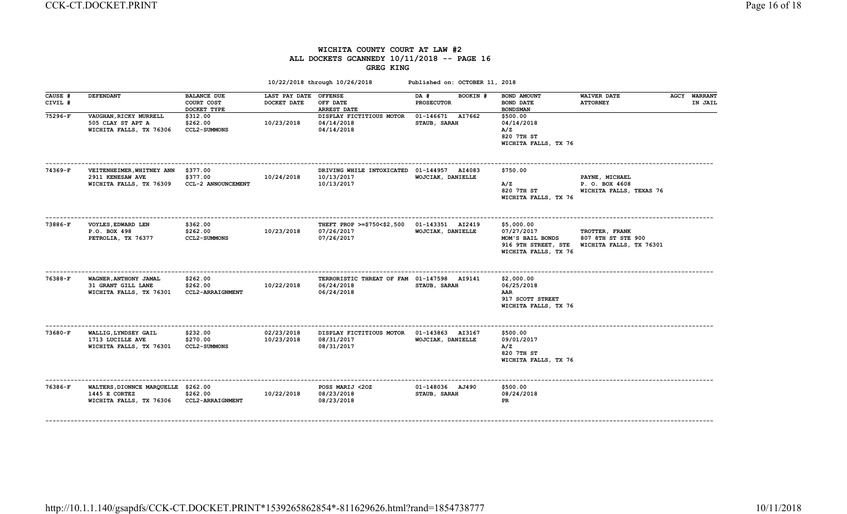## WICHITA COUNTY COURT AT LAW #2 ALL DOCKETS GCANNEDY 10/11/2018 -- PAGE 16 GREG KING

| <b>DEFENDANT</b>                                                       | <b>BALANCE DUE</b><br>COURT COST<br>DOCKET TYPE | DOCKET DATE                                                                                 | <b>OFFENSE</b><br>OFF DATE<br><b>ARREST DATE</b>     | DA #<br>BOOKIN #<br><b>PROSECUTOR</b>          | BOND AMOUNT<br><b>BOND DATE</b><br><b>BOND SMAN</b>                                                                                                | <b>WAIVER DATE</b><br><b>ATTORNEY</b> |                                                                     | <b>WARRANT</b><br>IN JAIL                                         |
|------------------------------------------------------------------------|-------------------------------------------------|---------------------------------------------------------------------------------------------|------------------------------------------------------|------------------------------------------------|----------------------------------------------------------------------------------------------------------------------------------------------------|---------------------------------------|---------------------------------------------------------------------|-------------------------------------------------------------------|
| VAUGHAN, RICKY MURRELL<br>505 CLAY ST APT A<br>WICHITA FALLS, TX 76306 | \$312.00<br>\$262.00<br><b>CCL2-SUMMONS</b>     | 10/23/2018                                                                                  | DISPLAY FICTITIOUS MOTOR<br>04/14/2018<br>04/14/2018 | 01-146671 AI7662<br>STAUB, SARAH               | \$500.00<br>04/14/2018<br>A/Z<br>820 7TH ST<br>WICHITA FALLS, TX 76                                                                                |                                       |                                                                     |                                                                   |
| 2911 KENESAW AVE<br>WICHITA FALLS, TX 76309                            | \$377.00<br>\$377.00<br>CCL-2 ANNOUNCEMENT      | 10/24/2018                                                                                  | 10/13/2017<br>10/13/2017                             | WOJCIAK, DANIELLE                              | \$750.00<br>A/Z<br>820 7TH ST                                                                                                                      | PAYNE, MICHAEL<br>P. O. BOX 4608      |                                                                     |                                                                   |
| VOYLES, EDWARD LEN<br>P.O. BOX 498<br>PETROLIA, TX 76377               | \$362.00<br>\$262.00<br><b>CCL2-SUMMONS</b>     | 10/23/2018                                                                                  | 07/26/2017<br>07/26/2017                             | 01-143351 AI2419<br>WOJCIAK, DANIELLE          | \$5,000.00<br>07/27/2017<br>MOM'S BAIL BONDS                                                                                                       | TROTTER, FRANK<br>807 8TH ST STE 900  |                                                                     |                                                                   |
| WAGNER, ANTHONY JAMAL<br>31 GRANT GILL LANE<br>WICHITA FALLS, TX 76301 | \$262.00<br>\$262.00<br>CCL2-ARRAIGNMENT        | 10/22/2018                                                                                  | 06/24/2018<br>06/24/2018                             | STAUB, SARAH                                   | \$2,000.00<br>06/25/2018<br>AAR<br>917 SCOTT STREET<br>WICHITA FALLS, TX 76                                                                        |                                       |                                                                     |                                                                   |
| WALLIG, LYNDSEY GAIL<br>1713 LUCILLE AVE<br>WICHITA FALLS, TX 76301    | \$232.00<br>\$270.00<br><b>CCL2-SUMMONS</b>     | 02/23/2018<br>10/23/2018                                                                    | 08/31/2017<br>08/31/2017                             | 01-143863 AI3167<br>WOJCIAK, DANIELLE          | \$500.00<br>09/01/2017<br>A/Z<br>820 7TH ST<br>WICHITA FALLS, TX 76                                                                                |                                       |                                                                     |                                                                   |
| 1445 E CORTEZ<br>WICHITA FALLS, TX 76306                               | \$262.00<br><b>CCL2-ARRAIGNMENT</b>             | 10/22/2018                                                                                  | POSS MARIJ <20Z<br>08/23/2018<br>08/23/2018          | 01-148036 AJ490<br>STAUB, SARAH                | \$500.00<br>08/24/2018<br>PR                                                                                                                       |                                       |                                                                     |                                                                   |
|                                                                        |                                                 | VEITENHEIMER, WHITNEY ANN<br>-----------------------<br>WALTERS, DIONNCE MARQUELLE \$262.00 |                                                      | 10/22/2018 through 10/26/2018<br>LAST PAY DATE | DRIVING WHILE INTOXICATED 01-144957 AI4083<br>THEFT PROP >=\$750<\$2,500<br>TERRORISTIC THREAT OF FAM 01-147598 AI9141<br>DISPLAY FICTITIOUS MOTOR | Published on: OCTOBER 11, 2018        | WICHITA FALLS, TX 76<br>916 9TH STREET, STE<br>WICHITA FALLS, TX 76 | <b>AGCY</b><br>WICHITA FALLS, TEXAS 76<br>WICHITA FALLS, TX 76301 |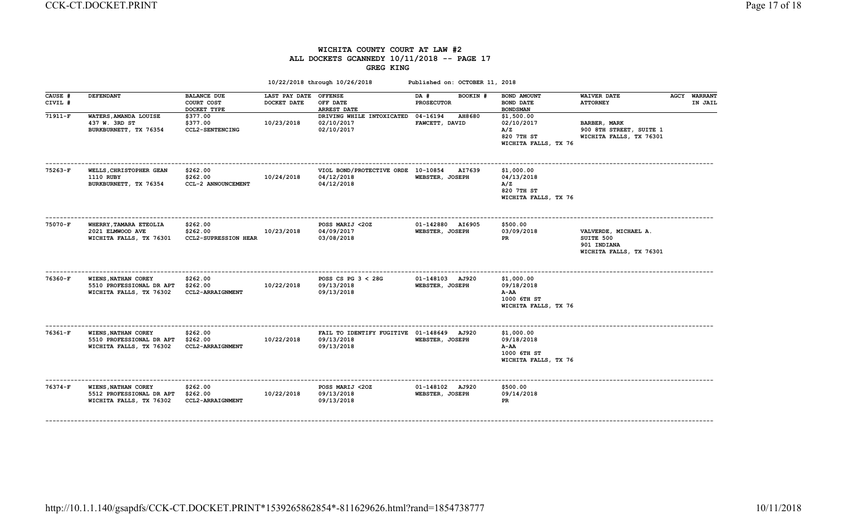## WICHITA COUNTY COURT AT LAW #2 ALL DOCKETS GCANNEDY 10/11/2018 -- PAGE 17 GREG KING

|                    |                                                                            |                                                     |                              | 10/22/2018 through 10/26/2018                                         | Published on: OCTOBER 11, 2018              |                                                                           |                                                                             |                                |
|--------------------|----------------------------------------------------------------------------|-----------------------------------------------------|------------------------------|-----------------------------------------------------------------------|---------------------------------------------|---------------------------------------------------------------------------|-----------------------------------------------------------------------------|--------------------------------|
| CAUSE #<br>CIVIL # | <b>DEFENDANT</b>                                                           | <b>BALANCE DUE</b><br>COURT COST<br>DOCKET TYPE     | LAST PAY DATE<br>DOCKET DATE | <b>OFFENSE</b><br>OFF DATE<br><b>ARREST DATE</b>                      | BOOKIN #<br>DA #<br><b>PROSECUTOR</b>       | BOND AMOUNT<br>BOND DATE<br><b>BOND SMAN</b>                              | <b>WAIVER DATE</b><br><b>ATTORNEY</b>                                       | <b>AGCY WARRANT</b><br>IN JAIL |
| $71911-F$          | WATERS, AMANDA LOUISE<br>437 W. 3RD ST<br>BURKBURNETT, TX 76354            | \$377.00<br>\$377.00<br>CCL2-SENTENCING             | 10/23/2018                   | DRIVING WHILE INTOXICATED<br>02/10/2017<br>02/10/2017                 | 04-16194<br><b>AH8680</b><br>FAWCETT, DAVID | \$1,500.00<br>02/10/2017<br>A/Z<br>820 7TH ST<br>WICHITA FALLS, TX 76     | BARBER, MARK<br>900 8TH STREET, SUITE 1<br>WICHITA FALLS, TX 76301          |                                |
| 75263-F            | WELLS, CHRISTOPHER GEAN<br><b>1110 RUBY</b><br>BURKBURNETT, TX 76354       | \$262.00<br>\$262.00<br>CCL-2 ANNOUNCEMENT          | 10/24/2018                   | VIOL BOND/PROTECTIVE ORDE 10-10854<br>04/12/2018<br>04/12/2018        | <b>AI7639</b><br>WEBSTER, JOSEPH            | \$1,000.00<br>04/13/2018<br>A/Z<br>820 7TH ST<br>WICHITA FALLS, TX 76     |                                                                             |                                |
| 75070-F            | WHERRY, TAMARA ETEOLIA<br>2021 ELMWOOD AVE<br>WICHITA FALLS, TX 76301      | \$262.00<br>\$262.00<br><b>CCL2-SUPRESSION HEAR</b> | 10/23/2018                   | POSS MARIJ <20Z<br>04/09/2017<br>03/08/2018                           | 01-142880 AI6905<br>WEBSTER, JOSEPH         | \$500.00<br>03/09/2018<br>PR                                              | VALVERDE, MICHAEL A.<br>SUITE 500<br>901 INDIANA<br>WICHITA FALLS, TX 76301 |                                |
| $76360-F$          | WIENS, NATHAN COREY<br>5510 PROFESSIONAL DR APT<br>WICHITA FALLS, TX 76302 | \$262.00<br>\$262.00<br>CCL2-ARRAIGNMENT            | 10/22/2018                   | POSS CS PG $3 < 28$ G<br>09/13/2018<br>09/13/2018                     | 01-148103 AJ920<br>WEBSTER, JOSEPH          | \$1,000.00<br>09/18/2018<br>$A-AA$<br>1000 6TH ST<br>WICHITA FALLS, TX 76 |                                                                             |                                |
| 76361-F            | WIENS, NATHAN COREY<br>5510 PROFESSIONAL DR APT<br>WICHITA FALLS, TX 76302 | \$262.00<br>\$262.00<br>CCL2-ARRAIGNMENT            | 10/22/2018                   | FAIL TO IDENTIFY FUGITIVE 01-148649 AJ920<br>09/13/2018<br>09/13/2018 | WEBSTER, JOSEPH                             | \$1,000.00<br>09/18/2018<br>A-AA<br>1000 6TH ST<br>WICHITA FALLS, TX 76   |                                                                             |                                |
| 76374-F            | WIENS, NATHAN COREY<br>5512 PROFESSIONAL DR APT<br>WICHITA FALLS, TX 76302 | \$262.00<br>\$262.00<br>CCL2-ARRAIGNMENT            | 10/22/2018                   | POSS MARIJ <20Z<br>09/13/2018<br>09/13/2018                           | 01-148102 AJ920<br>WEBSTER, JOSEPH          | \$500.00<br>09/14/2018<br>PR                                              |                                                                             |                                |